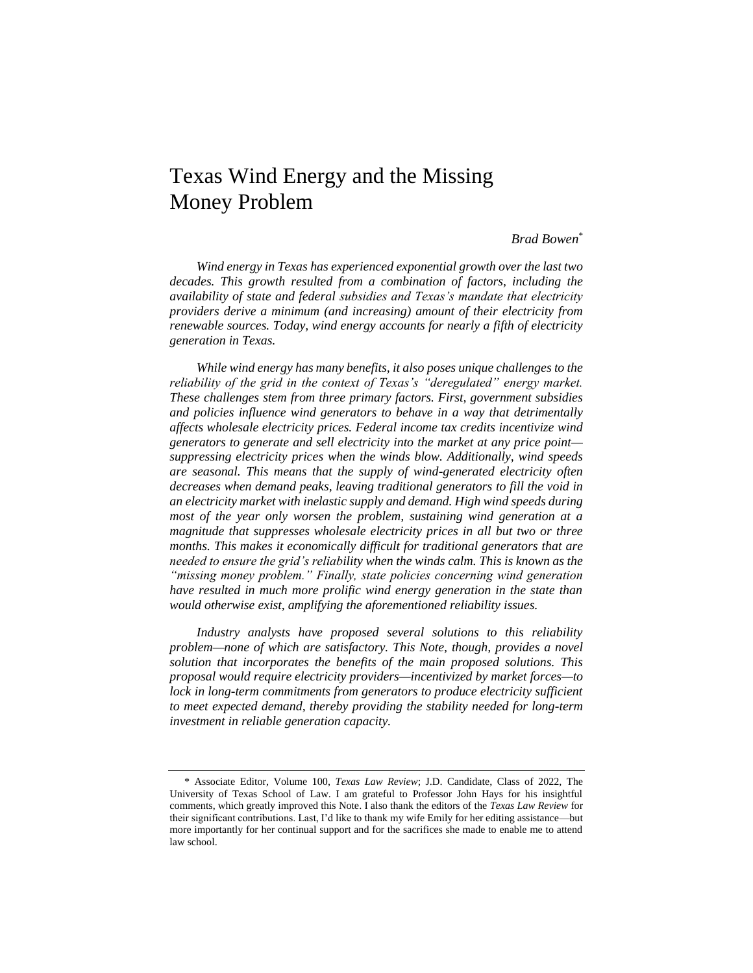# Texas Wind Energy and the Missing Money Problem

## *Brad Bowen*\*

*Wind energy in Texas has experienced exponential growth over the last two decades. This growth resulted from a combination of factors, including the availability of state and federal subsidies and Texas's mandate that electricity providers derive a minimum (and increasing) amount of their electricity from renewable sources. Today, wind energy accounts for nearly a fifth of electricity generation in Texas.*

*While wind energy has many benefits, it also poses unique challenges to the reliability of the grid in the context of Texas's "deregulated" energy market. These challenges stem from three primary factors. First, government subsidies and policies influence wind generators to behave in a way that detrimentally affects wholesale electricity prices. Federal income tax credits incentivize wind generators to generate and sell electricity into the market at any price point suppressing electricity prices when the winds blow. Additionally, wind speeds are seasonal. This means that the supply of wind-generated electricity often decreases when demand peaks, leaving traditional generators to fill the void in an electricity market with inelastic supply and demand. High wind speeds during most of the year only worsen the problem, sustaining wind generation at a magnitude that suppresses wholesale electricity prices in all but two or three months. This makes it economically difficult for traditional generators that are needed to ensure the grid's reliability when the winds calm. This is known as the "missing money problem." Finally, state policies concerning wind generation have resulted in much more prolific wind energy generation in the state than would otherwise exist, amplifying the aforementioned reliability issues.*

*Industry analysts have proposed several solutions to this reliability problem—none of which are satisfactory. This Note, though, provides a novel solution that incorporates the benefits of the main proposed solutions. This proposal would require electricity providers—incentivized by market forces—to lock in long-term commitments from generators to produce electricity sufficient to meet expected demand, thereby providing the stability needed for long-term investment in reliable generation capacity.*

<sup>\*</sup> Associate Editor, Volume 100, *Texas Law Review*; J.D. Candidate, Class of 2022, The University of Texas School of Law. I am grateful to Professor John Hays for his insightful comments, which greatly improved this Note. I also thank the editors of the *Texas Law Review* for their significant contributions. Last, I'd like to thank my wife Emily for her editing assistance—but more importantly for her continual support and for the sacrifices she made to enable me to attend law school.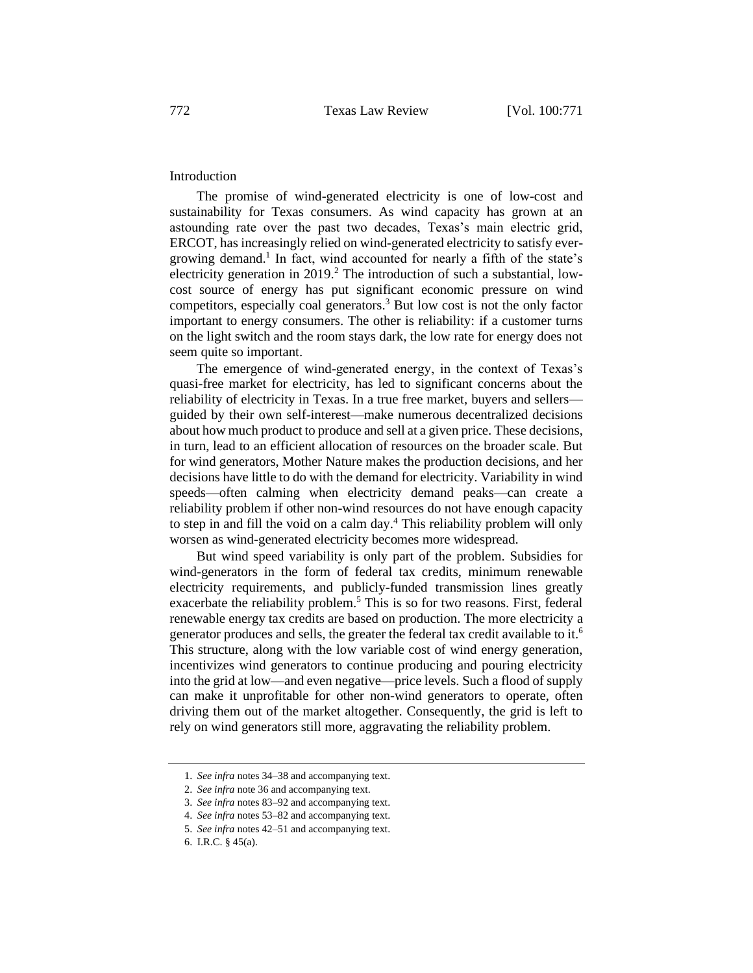## Introduction

The promise of wind-generated electricity is one of low-cost and sustainability for Texas consumers. As wind capacity has grown at an astounding rate over the past two decades, Texas's main electric grid, ERCOT, has increasingly relied on wind-generated electricity to satisfy evergrowing demand.<sup>1</sup> In fact, wind accounted for nearly a fifth of the state's electricity generation in  $2019<sup>2</sup>$ . The introduction of such a substantial, lowcost source of energy has put significant economic pressure on wind competitors, especially coal generators.<sup>3</sup> But low cost is not the only factor important to energy consumers. The other is reliability: if a customer turns on the light switch and the room stays dark, the low rate for energy does not seem quite so important.

The emergence of wind-generated energy, in the context of Texas's quasi-free market for electricity, has led to significant concerns about the reliability of electricity in Texas. In a true free market, buyers and sellers guided by their own self-interest—make numerous decentralized decisions about how much product to produce and sell at a given price. These decisions, in turn, lead to an efficient allocation of resources on the broader scale. But for wind generators, Mother Nature makes the production decisions, and her decisions have little to do with the demand for electricity. Variability in wind speeds—often calming when electricity demand peaks—can create a reliability problem if other non-wind resources do not have enough capacity to step in and fill the void on a calm day.<sup>4</sup> This reliability problem will only worsen as wind-generated electricity becomes more widespread.

But wind speed variability is only part of the problem. Subsidies for wind-generators in the form of federal tax credits, minimum renewable electricity requirements, and publicly-funded transmission lines greatly exacerbate the reliability problem.<sup>5</sup> This is so for two reasons. First, federal renewable energy tax credits are based on production. The more electricity a generator produces and sells, the greater the federal tax credit available to it.<sup>6</sup> This structure, along with the low variable cost of wind energy generation, incentivizes wind generators to continue producing and pouring electricity into the grid at low—and even negative—price levels. Such a flood of supply can make it unprofitable for other non-wind generators to operate, often driving them out of the market altogether. Consequently, the grid is left to rely on wind generators still more, aggravating the reliability problem.

<sup>1.</sup> *See infra* note[s 34–](#page-6-0)[38](#page-6-1) and accompanying text.

<sup>2.</sup> *See infra* not[e 36](#page-6-2) and accompanying text.

<sup>3.</sup> *See infra* note[s 83–](#page-15-0)[92](#page-16-0) and accompanying text.

<sup>4.</sup> *See infra* note[s 53–](#page-10-0)[82](#page-15-1) and accompanying text.

<sup>5.</sup> *See infra* note[s 42–](#page-8-0)[51](#page-9-0) and accompanying text.

<sup>6.</sup> I.R.C. § 45(a).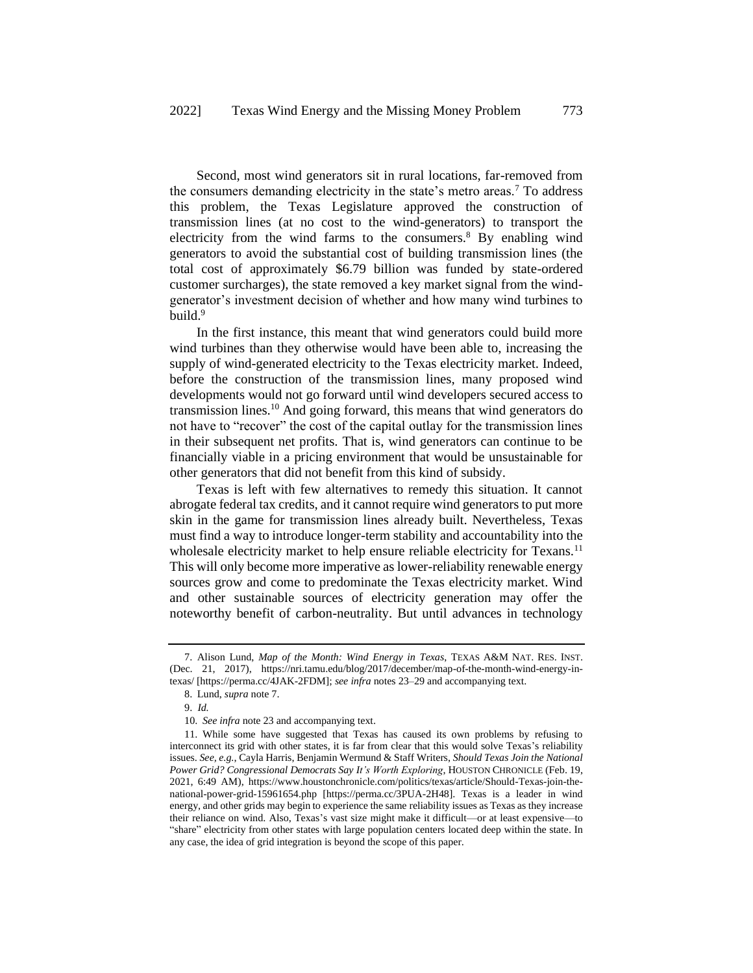Second, most wind generators sit in rural locations, far-removed from the consumers demanding electricity in the state's metro areas.<sup>7</sup> To address this problem, the Texas Legislature approved the construction of transmission lines (at no cost to the wind-generators) to transport the electricity from the wind farms to the consumers. $8$  By enabling wind generators to avoid the substantial cost of building transmission lines (the total cost of approximately \$6.79 billion was funded by state-ordered customer surcharges), the state removed a key market signal from the windgenerator's investment decision of whether and how many wind turbines to build.<sup>9</sup>

In the first instance, this meant that wind generators could build more wind turbines than they otherwise would have been able to, increasing the supply of wind-generated electricity to the Texas electricity market. Indeed, before the construction of the transmission lines, many proposed wind developments would not go forward until wind developers secured access to transmission lines.<sup>10</sup> And going forward, this means that wind generators do not have to "recover" the cost of the capital outlay for the transmission lines in their subsequent net profits. That is, wind generators can continue to be financially viable in a pricing environment that would be unsustainable for other generators that did not benefit from this kind of subsidy.

Texas is left with few alternatives to remedy this situation. It cannot abrogate federal tax credits, and it cannot require wind generators to put more skin in the game for transmission lines already built. Nevertheless, Texas must find a way to introduce longer-term stability and accountability into the wholesale electricity market to help ensure reliable electricity for Texans.<sup>11</sup> This will only become more imperative as lower-reliability renewable energy sources grow and come to predominate the Texas electricity market. Wind and other sustainable sources of electricity generation may offer the noteworthy benefit of carbon-neutrality. But until advances in technology

<sup>7.</sup> Alison Lund, *Map of the Month: Wind Energy in Texas*, TEXAS A&M NAT. RES. INST. (Dec. 21, 2017), https://nri.tamu.edu/blog/2017/december/map-of-the-month-wind-energy-intexas/ [https://perma.cc/4JAK-2FDM]; *see infra* notes [23–](#page-5-0)[29](#page-5-1) and accompanying text.

<sup>8.</sup> Lund, *supra* note 7.

<sup>9.</sup> *Id.*

<sup>10.</sup> *See infra* not[e 23](#page-5-0) and accompanying text.

<sup>11.</sup> While some have suggested that Texas has caused its own problems by refusing to interconnect its grid with other states, it is far from clear that this would solve Texas's reliability issues. *See, e.g.*, Cayla Harris, Benjamin Wermund & Staff Writers, *Should Texas Join the National Power Grid? Congressional Democrats Say It's Worth Exploring*, HOUSTON CHRONICLE (Feb. 19, 2021, 6:49 AM), https://www.houstonchronicle.com/politics/texas/article/Should-Texas-join-thenational-power-grid-15961654.php [https://perma.cc/3PUA-2H48]. Texas is a leader in wind energy, and other grids may begin to experience the same reliability issues as Texas as they increase their reliance on wind. Also, Texas's vast size might make it difficult—or at least expensive—to "share" electricity from other states with large population centers located deep within the state. In any case, the idea of grid integration is beyond the scope of this paper.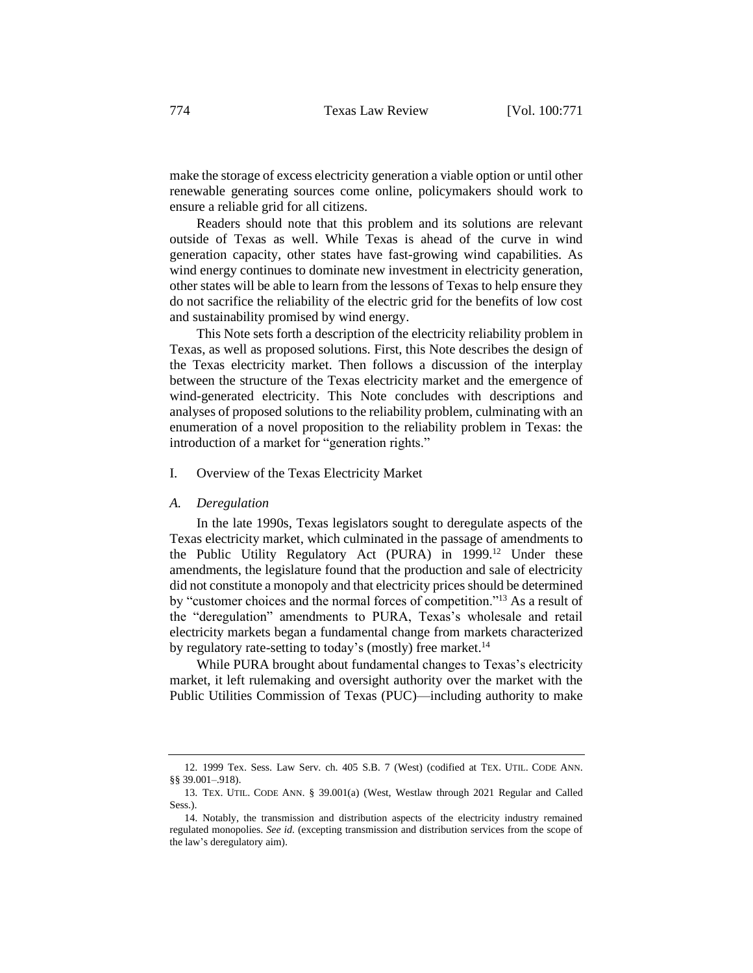make the storage of excess electricity generation a viable option or until other renewable generating sources come online, policymakers should work to ensure a reliable grid for all citizens.

Readers should note that this problem and its solutions are relevant outside of Texas as well. While Texas is ahead of the curve in wind generation capacity, other states have fast-growing wind capabilities. As wind energy continues to dominate new investment in electricity generation, other states will be able to learn from the lessons of Texas to help ensure they do not sacrifice the reliability of the electric grid for the benefits of low cost and sustainability promised by wind energy.

This Note sets forth a description of the electricity reliability problem in Texas, as well as proposed solutions. First, this Note describes the design of the Texas electricity market. Then follows a discussion of the interplay between the structure of the Texas electricity market and the emergence of wind-generated electricity. This Note concludes with descriptions and analyses of proposed solutions to the reliability problem, culminating with an enumeration of a novel proposition to the reliability problem in Texas: the introduction of a market for "generation rights."

I. Overview of the Texas Electricity Market

## *A. Deregulation*

<span id="page-3-0"></span>In the late 1990s, Texas legislators sought to deregulate aspects of the Texas electricity market, which culminated in the passage of amendments to the Public Utility Regulatory Act (PURA) in 1999.<sup>12</sup> Under these amendments, the legislature found that the production and sale of electricity did not constitute a monopoly and that electricity prices should be determined by "customer choices and the normal forces of competition."<sup>13</sup> As a result of the "deregulation" amendments to PURA, Texas's wholesale and retail electricity markets began a fundamental change from markets characterized by regulatory rate-setting to today's (mostly) free market. $^{14}$ 

<span id="page-3-1"></span>While PURA brought about fundamental changes to Texas's electricity market, it left rulemaking and oversight authority over the market with the Public Utilities Commission of Texas (PUC)—including authority to make

<sup>12.</sup> 1999 Tex. Sess. Law Serv. ch. 405 S.B. 7 (West) (codified at TEX. UTIL. CODE ANN. §§ 39.001–.918).

<sup>13.</sup> TEX. UTIL. CODE ANN. § 39.001(a) (West, Westlaw through 2021 Regular and Called Sess.).

<sup>14.</sup> Notably, the transmission and distribution aspects of the electricity industry remained regulated monopolies. *See id.* (excepting transmission and distribution services from the scope of the law's deregulatory aim).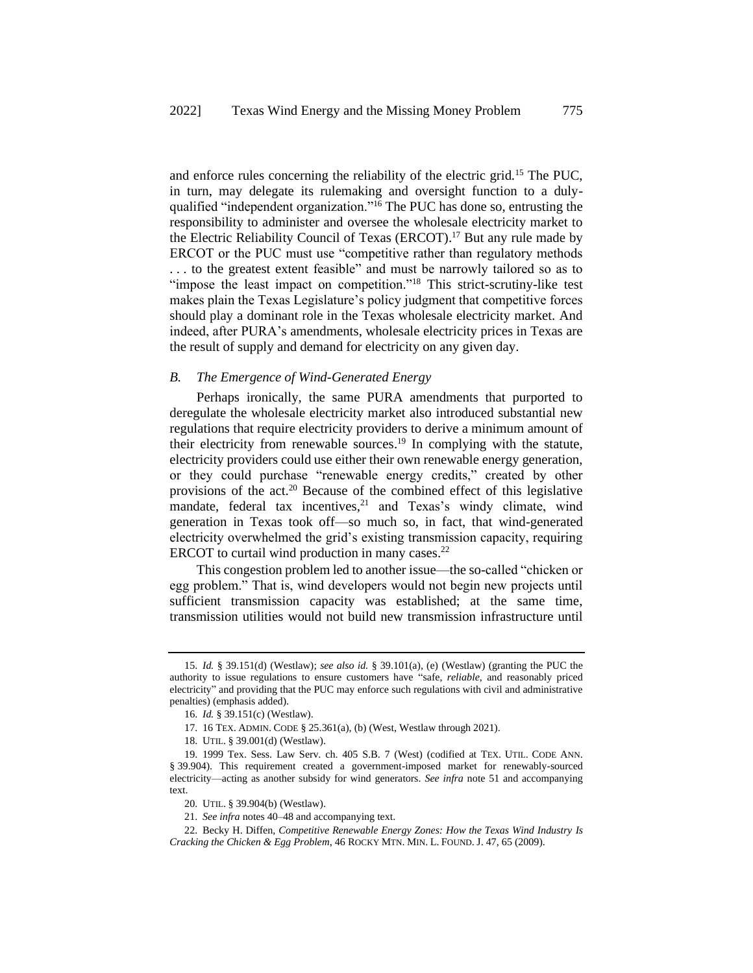and enforce rules concerning the reliability of the electric grid.<sup>15</sup> The PUC, in turn, may delegate its rulemaking and oversight function to a dulyqualified "independent organization."<sup>16</sup> The PUC has done so, entrusting the responsibility to administer and oversee the wholesale electricity market to the Electric Reliability Council of Texas (ERCOT).<sup>17</sup> But any rule made by ERCOT or the PUC must use "competitive rather than regulatory methods . . . to the greatest extent feasible" and must be narrowly tailored so as to "impose the least impact on competition."<sup>18</sup> This strict-scrutiny-like test makes plain the Texas Legislature's policy judgment that competitive forces should play a dominant role in the Texas wholesale electricity market. And indeed, after PURA's amendments, wholesale electricity prices in Texas are the result of supply and demand for electricity on any given day.

## <span id="page-4-0"></span>*B. The Emergence of Wind-Generated Energy*

Perhaps ironically, the same PURA amendments that purported to deregulate the wholesale electricity market also introduced substantial new regulations that require electricity providers to derive a minimum amount of their electricity from renewable sources.<sup>19</sup> In complying with the statute, electricity providers could use either their own renewable energy generation, or they could purchase "renewable energy credits," created by other provisions of the act.<sup>20</sup> Because of the combined effect of this legislative mandate, federal tax incentives, $21$  and Texas's windy climate, wind generation in Texas took off—so much so, in fact, that wind-generated electricity overwhelmed the grid's existing transmission capacity, requiring ERCOT to curtail wind production in many cases.<sup>22</sup>

This congestion problem led to another issue—the so-called "chicken or egg problem." That is, wind developers would not begin new projects until sufficient transmission capacity was established; at the same time, transmission utilities would not build new transmission infrastructure until

<sup>15.</sup> *Id.* § 39.151(d) (Westlaw); *see also id.* § 39.101(a), (e) (Westlaw) (granting the PUC the authority to issue regulations to ensure customers have "safe, *reliable*, and reasonably priced electricity" and providing that the PUC may enforce such regulations with civil and administrative penalties) (emphasis added).

<sup>16.</sup> *Id.* § 39.151(c) (Westlaw).

<sup>17.</sup> 16 TEX. ADMIN. CODE § 25.361(a), (b) (West, Westlaw through 2021).

<sup>18.</sup> UTIL. § 39.001(d) (Westlaw).

<sup>19.</sup> 1999 Tex. Sess. Law Serv. ch. 405 S.B. 7 (West) (codified at TEX. UTIL. CODE ANN. § 39.904). This requirement created a government-imposed market for renewably-sourced electricity—acting as another subsidy for wind generators. *See infra* note [51](#page-9-0) and accompanying text.

<sup>20.</sup> UTIL. § 39.904(b) (Westlaw).

<sup>21.</sup> *See infra* note[s 40](#page-7-0)[–48](#page-9-1) and accompanying text.

<sup>22.</sup> Becky H. Diffen, *Competitive Renewable Energy Zones: How the Texas Wind Industry Is Cracking the Chicken & Egg Problem*, 46 ROCKY MTN. MIN. L. FOUND. J. 47, 65 (2009).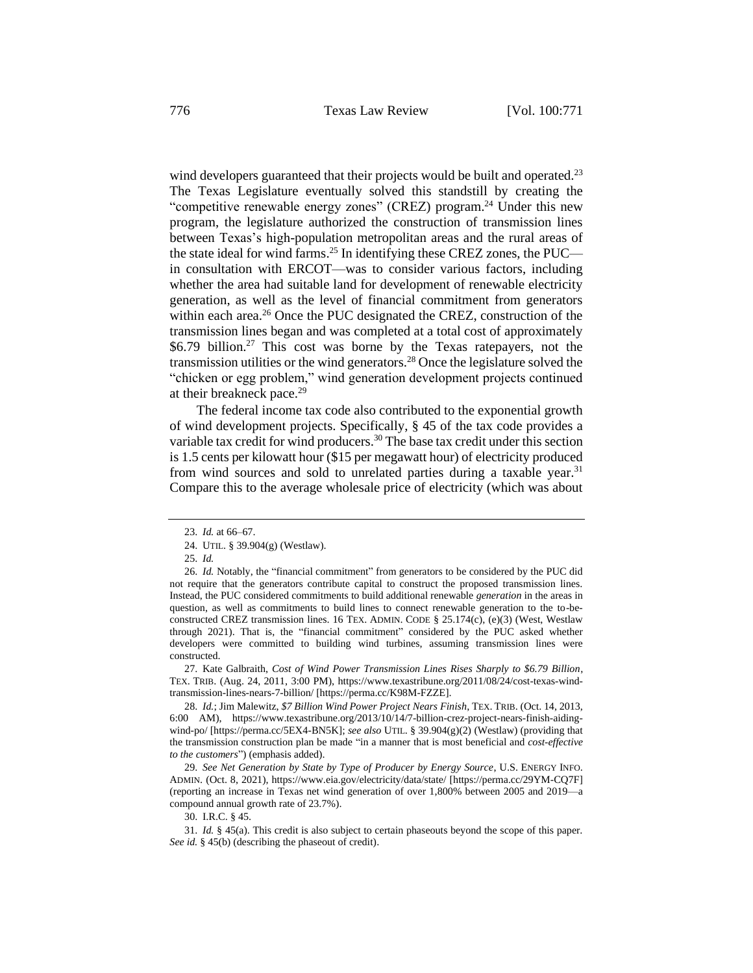<span id="page-5-0"></span>wind developers guaranteed that their projects would be built and operated.<sup>23</sup> The Texas Legislature eventually solved this standstill by creating the "competitive renewable energy zones" (CREZ) program.<sup>24</sup> Under this new program, the legislature authorized the construction of transmission lines between Texas's high-population metropolitan areas and the rural areas of the state ideal for wind farms. <sup>25</sup> In identifying these CREZ zones, the PUC in consultation with ERCOT—was to consider various factors, including whether the area had suitable land for development of renewable electricity generation, as well as the level of financial commitment from generators within each area.<sup>26</sup> Once the PUC designated the CREZ, construction of the transmission lines began and was completed at a total cost of approximately \$6.79 billion.<sup>27</sup> This cost was borne by the Texas ratepayers, not the transmission utilities or the wind generators.<sup>28</sup> Once the legislature solved the "chicken or egg problem," wind generation development projects continued at their breakneck pace.<sup>29</sup>

<span id="page-5-3"></span><span id="page-5-2"></span><span id="page-5-1"></span>The federal income tax code also contributed to the exponential growth of wind development projects. Specifically, § 45 of the tax code provides a variable tax credit for wind producers.<sup>30</sup> The base tax credit under this section is 1.5 cents per kilowatt hour (\$15 per megawatt hour) of electricity produced from wind sources and sold to unrelated parties during a taxable year.<sup>31</sup> Compare this to the average wholesale price of electricity (which was about

27. Kate Galbraith, *Cost of Wind Power Transmission Lines Rises Sharply to \$6.79 Billion*, TEX. TRIB. (Aug. 24, 2011, 3:00 PM), https://www.texastribune.org/2011/08/24/cost-texas-windtransmission-lines-nears-7-billion/ [https://perma.cc/K98M-FZZE].

28. *Id.*; Jim Malewitz, *\$7 Billion Wind Power Project Nears Finish*, TEX. TRIB. (Oct. 14, 2013, 6:00 AM), https://www.texastribune.org/2013/10/14/7-billion-crez-project-nears-finish-aidingwind-po/ [https://perma.cc/5EX4-BN5K]; *see also* UTIL. § 39.904(g)(2) (Westlaw) (providing that the transmission construction plan be made "in a manner that is most beneficial and *cost-effective to the customers*") (emphasis added).

29. *See Net Generation by State by Type of Producer by Energy Source*, U.S. ENERGY INFO. ADMIN. (Oct. 8, 2021), https://www.eia.gov/electricity/data/state/ [https://perma.cc/29YM-CQ7F] (reporting an increase in Texas net wind generation of over 1,800% between 2005 and 2019—a compound annual growth rate of 23.7%).

30. I.R.C. § 45.

31. *Id.* § 45(a). This credit is also subject to certain phaseouts beyond the scope of this paper. *See id.* § 45(b) (describing the phaseout of credit).

<sup>23.</sup> *Id.* at 66–67.

<sup>24.</sup> UTIL. § 39.904(g) (Westlaw).

<sup>25.</sup> *Id.*

<sup>26.</sup> *Id.* Notably, the "financial commitment" from generators to be considered by the PUC did not require that the generators contribute capital to construct the proposed transmission lines. Instead, the PUC considered commitments to build additional renewable *generation* in the areas in question, as well as commitments to build lines to connect renewable generation to the to-beconstructed CREZ transmission lines. 16 TEX. ADMIN. CODE § 25.174(c), (e)(3) (West, Westlaw through 2021). That is, the "financial commitment" considered by the PUC asked whether developers were committed to building wind turbines, assuming transmission lines were constructed.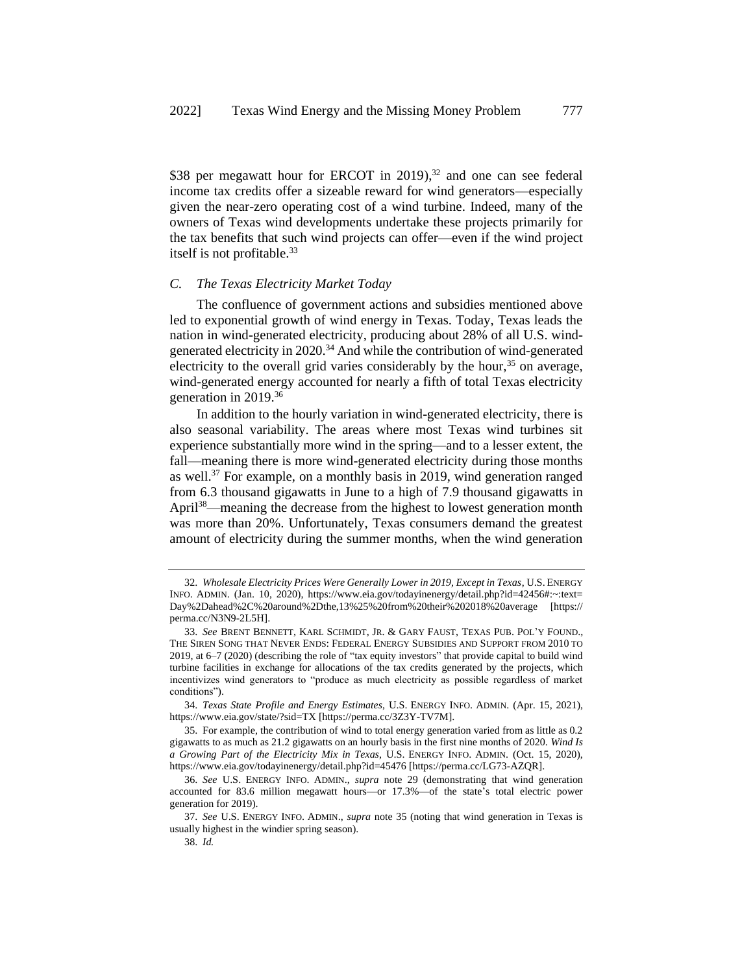\$38 per megawatt hour for ERCOT in 2019),<sup>32</sup> and one can see federal income tax credits offer a sizeable reward for wind generators—especially given the near-zero operating cost of a wind turbine. Indeed, many of the owners of Texas wind developments undertake these projects primarily for the tax benefits that such wind projects can offer—even if the wind project itself is not profitable.<sup>33</sup>

#### <span id="page-6-4"></span>*C. The Texas Electricity Market Today*

<span id="page-6-0"></span>The confluence of government actions and subsidies mentioned above led to exponential growth of wind energy in Texas. Today, Texas leads the nation in wind-generated electricity, producing about 28% of all U.S. windgenerated electricity in 2020. <sup>34</sup> And while the contribution of wind-generated electricity to the overall grid varies considerably by the hour,  $35$  on average, wind-generated energy accounted for nearly a fifth of total Texas electricity generation in 2019.<sup>36</sup>

<span id="page-6-5"></span><span id="page-6-3"></span><span id="page-6-2"></span>In addition to the hourly variation in wind-generated electricity, there is also seasonal variability. The areas where most Texas wind turbines sit experience substantially more wind in the spring—and to a lesser extent, the fall—meaning there is more wind-generated electricity during those months as well.<sup>37</sup> For example, on a monthly basis in 2019, wind generation ranged from 6.3 thousand gigawatts in June to a high of 7.9 thousand gigawatts in April<sup>38</sup>—meaning the decrease from the highest to lowest generation month was more than 20%. Unfortunately, Texas consumers demand the greatest amount of electricity during the summer months, when the wind generation

<span id="page-6-1"></span><sup>32.</sup> *Wholesale Electricity Prices Were Generally Lower in 2019, Except in Texas*, U.S. ENERGY INFO. ADMIN. (Jan. 10, 2020), https://www.eia.gov/todayinenergy/detail.php?id=42456#:~:text= Day%2Dahead%2C%20around%2Dthe,13%25%20from%20their%202018%20average [https:// perma.cc/N3N9-2L5H].

<sup>33.</sup> *See* BRENT BENNETT, KARL SCHMIDT, JR. & GARY FAUST, TEXAS PUB. POL'Y FOUND., THE SIREN SONG THAT NEVER ENDS: FEDERAL ENERGY SUBSIDIES AND SUPPORT FROM 2010 TO 2019, at 6–7 (2020) (describing the role of "tax equity investors" that provide capital to build wind turbine facilities in exchange for allocations of the tax credits generated by the projects, which incentivizes wind generators to "produce as much electricity as possible regardless of market conditions").

<sup>34.</sup> *Texas State Profile and Energy Estimates*, U.S. ENERGY INFO. ADMIN. (Apr. 15, 2021), https://www.eia.gov/state/?sid=TX [https://perma.cc/3Z3Y-TV7M].

<sup>35.</sup> For example, the contribution of wind to total energy generation varied from as little as 0.2 gigawatts to as much as 21.2 gigawatts on an hourly basis in the first nine months of 2020. *Wind Is a Growing Part of the Electricity Mix in Texas*, U.S. ENERGY INFO. ADMIN. (Oct. 15, 2020), https://www.eia.gov/todayinenergy/detail.php?id=45476 [https://perma.cc/LG73-AZQR].

<sup>36.</sup> *See* U.S. ENERGY INFO. ADMIN., *supra* note [29](#page-5-1) (demonstrating that wind generation accounted for 83.6 million megawatt hours—or 17.3%—of the state's total electric power generation for 2019).

<sup>37.</sup> *See* U.S. ENERGY INFO. ADMIN., *supra* note [35](#page-6-3) (noting that wind generation in Texas is usually highest in the windier spring season).

<sup>38.</sup> *Id.*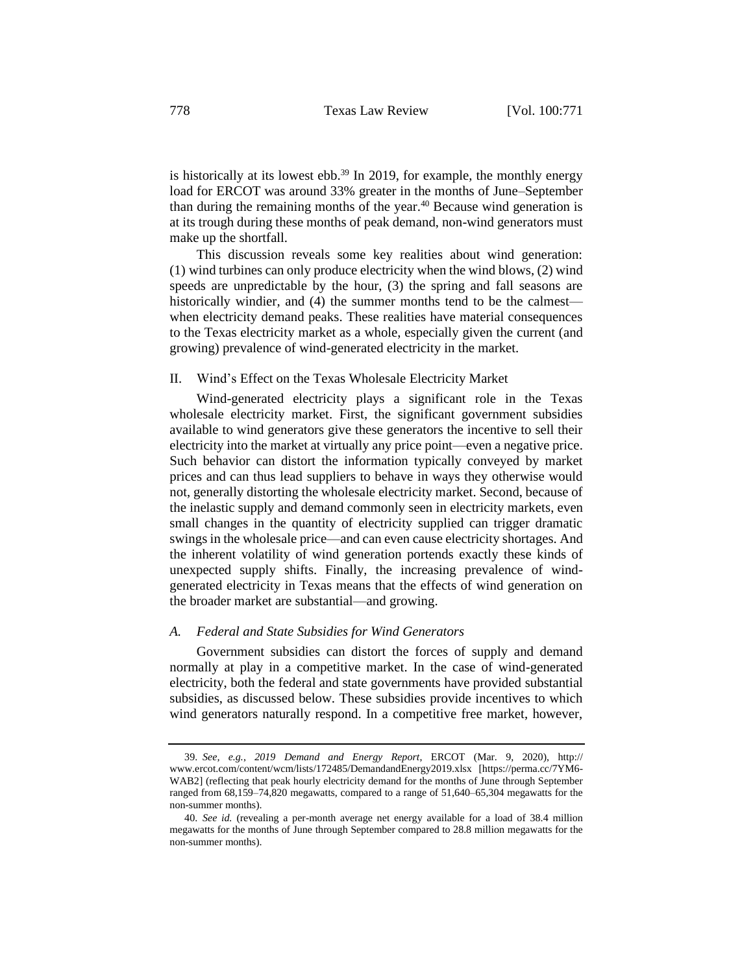<span id="page-7-1"></span><span id="page-7-0"></span>is historically at its lowest ebb.<sup>39</sup> In 2019, for example, the monthly energy load for ERCOT was around 33% greater in the months of June–September than during the remaining months of the year. $40$  Because wind generation is at its trough during these months of peak demand, non-wind generators must make up the shortfall.

This discussion reveals some key realities about wind generation: (1) wind turbines can only produce electricity when the wind blows, (2) wind speeds are unpredictable by the hour, (3) the spring and fall seasons are historically windier, and (4) the summer months tend to be the calmest when electricity demand peaks. These realities have material consequences to the Texas electricity market as a whole, especially given the current (and growing) prevalence of wind-generated electricity in the market.

#### II. Wind's Effect on the Texas Wholesale Electricity Market

Wind-generated electricity plays a significant role in the Texas wholesale electricity market. First, the significant government subsidies available to wind generators give these generators the incentive to sell their electricity into the market at virtually any price point—even a negative price. Such behavior can distort the information typically conveyed by market prices and can thus lead suppliers to behave in ways they otherwise would not, generally distorting the wholesale electricity market. Second, because of the inelastic supply and demand commonly seen in electricity markets, even small changes in the quantity of electricity supplied can trigger dramatic swings in the wholesale price—and can even cause electricity shortages. And the inherent volatility of wind generation portends exactly these kinds of unexpected supply shifts. Finally, the increasing prevalence of windgenerated electricity in Texas means that the effects of wind generation on the broader market are substantial—and growing.

## *A. Federal and State Subsidies for Wind Generators*

Government subsidies can distort the forces of supply and demand normally at play in a competitive market. In the case of wind-generated electricity, both the federal and state governments have provided substantial subsidies, as discussed below. These subsidies provide incentives to which wind generators naturally respond. In a competitive free market, however,

<sup>39.</sup> *See, e.g.*, *2019 Demand and Energy Report*, ERCOT (Mar. 9, 2020), http:// www.ercot.com/content/wcm/lists/172485/DemandandEnergy2019.xlsx [https://perma.cc/7YM6- WAB2] (reflecting that peak hourly electricity demand for the months of June through September ranged from 68,159–74,820 megawatts, compared to a range of 51,640–65,304 megawatts for the non-summer months).

<sup>40.</sup> *See id.* (revealing a per-month average net energy available for a load of 38.4 million megawatts for the months of June through September compared to 28.8 million megawatts for the non-summer months).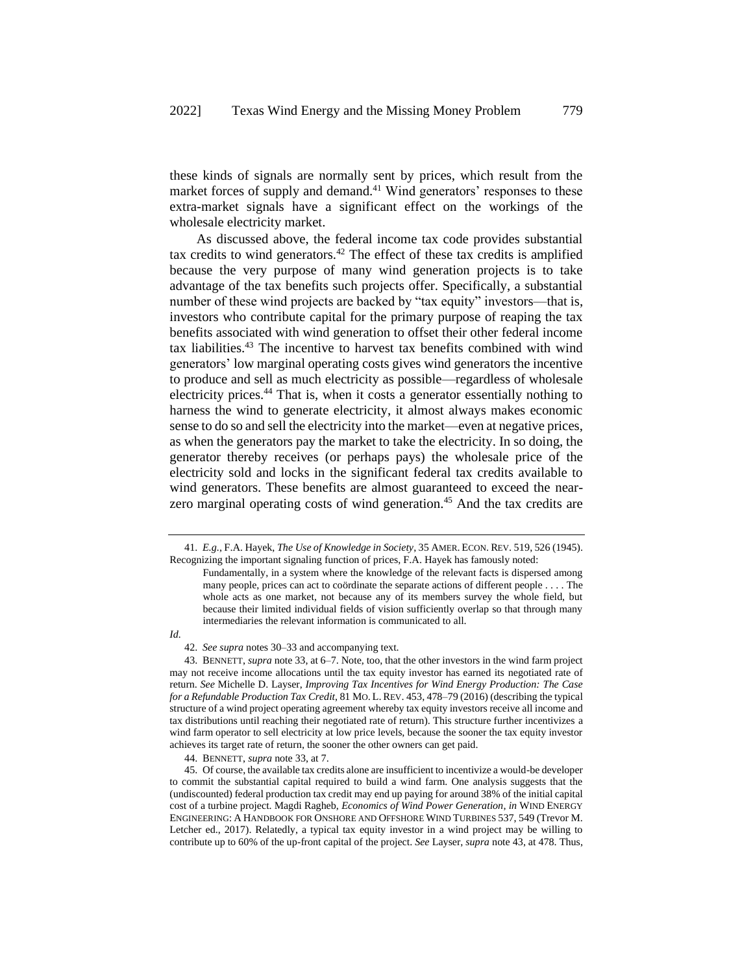<span id="page-8-2"></span>these kinds of signals are normally sent by prices, which result from the market forces of supply and demand.<sup>41</sup> Wind generators' responses to these extra-market signals have a significant effect on the workings of the wholesale electricity market.

<span id="page-8-1"></span><span id="page-8-0"></span>As discussed above, the federal income tax code provides substantial tax credits to wind generators. $42$  The effect of these tax credits is amplified because the very purpose of many wind generation projects is to take advantage of the tax benefits such projects offer. Specifically, a substantial number of these wind projects are backed by "tax equity" investors—that is, investors who contribute capital for the primary purpose of reaping the tax benefits associated with wind generation to offset their other federal income tax liabilities.<sup>43</sup> The incentive to harvest tax benefits combined with wind generators' low marginal operating costs gives wind generators the incentive to produce and sell as much electricity as possible—regardless of wholesale electricity prices.<sup>44</sup> That is, when it costs a generator essentially nothing to harness the wind to generate electricity, it almost always makes economic sense to do so and sell the electricity into the market—even at negative prices, as when the generators pay the market to take the electricity. In so doing, the generator thereby receives (or perhaps pays) the wholesale price of the electricity sold and locks in the significant federal tax credits available to wind generators. These benefits are almost guaranteed to exceed the nearzero marginal operating costs of wind generation.<sup>45</sup> And the tax credits are

*Id.*

<sup>41.</sup> *E.g.*, F.A. Hayek, *The Use of Knowledge in Society*, 35 AMER. ECON. REV. 519, 526 (1945). Recognizing the important signaling function of prices, F.A. Hayek has famously noted:

Fundamentally, in a system where the knowledge of the relevant facts is dispersed among many people, prices can act to coördinate the separate actions of different people . . . . The whole acts as one market, not because any of its members survey the whole field, but because their limited individual fields of vision sufficiently overlap so that through many intermediaries the relevant information is communicated to all.

<sup>42.</sup> *See supra* note[s 30–](#page-5-2)[33](#page-6-4) and accompanying text.

<sup>43.</sup> BENNETT, *supra* not[e 33,](#page-6-4) at 6–7. Note, too, that the other investors in the wind farm project may not receive income allocations until the tax equity investor has earned its negotiated rate of return. *See* Michelle D. Layser, *Improving Tax Incentives for Wind Energy Production: The Case for a Refundable Production Tax Credit*, 81 MO. L. REV. 453, 478–79 (2016) (describing the typical structure of a wind project operating agreement whereby tax equity investors receive all income and tax distributions until reaching their negotiated rate of return). This structure further incentivizes a wind farm operator to sell electricity at low price levels, because the sooner the tax equity investor achieves its target rate of return, the sooner the other owners can get paid.

<sup>44.</sup> BENNETT, *supra* not[e 33,](#page-6-4) at 7.

<sup>45.</sup> Of course, the available tax credits alone are insufficient to incentivize a would-be developer to commit the substantial capital required to build a wind farm. One analysis suggests that the (undiscounted) federal production tax credit may end up paying for around 38% of the initial capital cost of a turbine project. Magdi Ragheb, *Economics of Wind Power Generation*, *in* WIND ENERGY ENGINEERING: A HANDBOOK FOR ONSHORE AND OFFSHORE WIND TURBINES 537, 549 (Trevor M. Letcher ed., 2017). Relatedly, a typical tax equity investor in a wind project may be willing to contribute up to 60% of the up-front capital of the project. *See* Layser, *supra* note [43,](#page-8-1) at 478. Thus,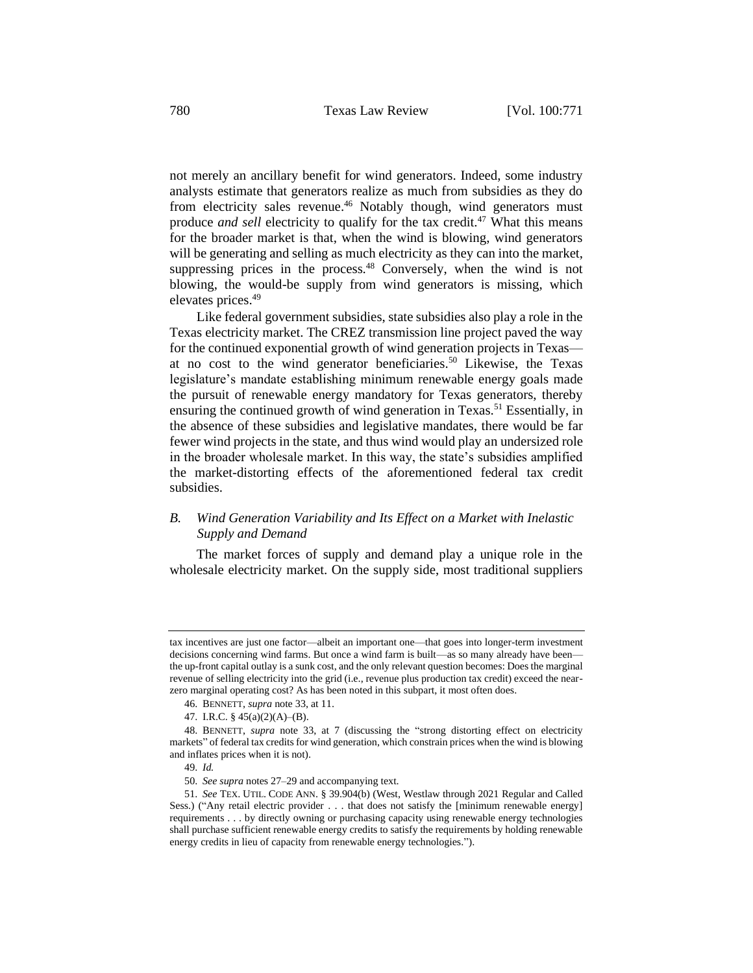not merely an ancillary benefit for wind generators. Indeed, some industry analysts estimate that generators realize as much from subsidies as they do from electricity sales revenue.<sup>46</sup> Notably though, wind generators must produce *and sell* electricity to qualify for the tax credit.<sup>47</sup> What this means for the broader market is that, when the wind is blowing, wind generators will be generating and selling as much electricity as they can into the market, suppressing prices in the process.<sup>48</sup> Conversely, when the wind is not blowing, the would-be supply from wind generators is missing, which elevates prices.<sup>49</sup>

<span id="page-9-2"></span><span id="page-9-1"></span><span id="page-9-0"></span>Like federal government subsidies, state subsidies also play a role in the Texas electricity market. The CREZ transmission line project paved the way for the continued exponential growth of wind generation projects in Texas at no cost to the wind generator beneficiaries.<sup>50</sup> Likewise, the Texas legislature's mandate establishing minimum renewable energy goals made the pursuit of renewable energy mandatory for Texas generators, thereby ensuring the continued growth of wind generation in Texas.<sup>51</sup> Essentially, in the absence of these subsidies and legislative mandates, there would be far fewer wind projects in the state, and thus wind would play an undersized role in the broader wholesale market. In this way, the state's subsidies amplified the market-distorting effects of the aforementioned federal tax credit subsidies.

## *B. Wind Generation Variability and Its Effect on a Market with Inelastic Supply and Demand*

The market forces of supply and demand play a unique role in the wholesale electricity market. On the supply side, most traditional suppliers

tax incentives are just one factor—albeit an important one—that goes into longer-term investment decisions concerning wind farms. But once a wind farm is built—as so many already have been the up-front capital outlay is a sunk cost, and the only relevant question becomes: Does the marginal revenue of selling electricity into the grid (i.e., revenue plus production tax credit) exceed the nearzero marginal operating cost? As has been noted in this subpart, it most often does.

<sup>46.</sup> BENNETT, *supra* not[e 33,](#page-6-4) at 11.

<sup>47.</sup> I.R.C. § 45(a)(2)(A)–(B).

<sup>48.</sup> BENNETT, *supra* note [33,](#page-6-4) at 7 (discussing the "strong distorting effect on electricity markets" of federal tax credits for wind generation, which constrain prices when the wind is blowing and inflates prices when it is not).

<sup>49.</sup> *Id.*

<sup>50.</sup> *See supra* note[s 27–](#page-5-3)[29](#page-5-1) and accompanying text.

<sup>51.</sup> *See* TEX. UTIL. CODE ANN. § 39.904(b) (West, Westlaw through 2021 Regular and Called Sess.) ("Any retail electric provider . . . that does not satisfy the [minimum renewable energy] requirements . . . by directly owning or purchasing capacity using renewable energy technologies shall purchase sufficient renewable energy credits to satisfy the requirements by holding renewable energy credits in lieu of capacity from renewable energy technologies.").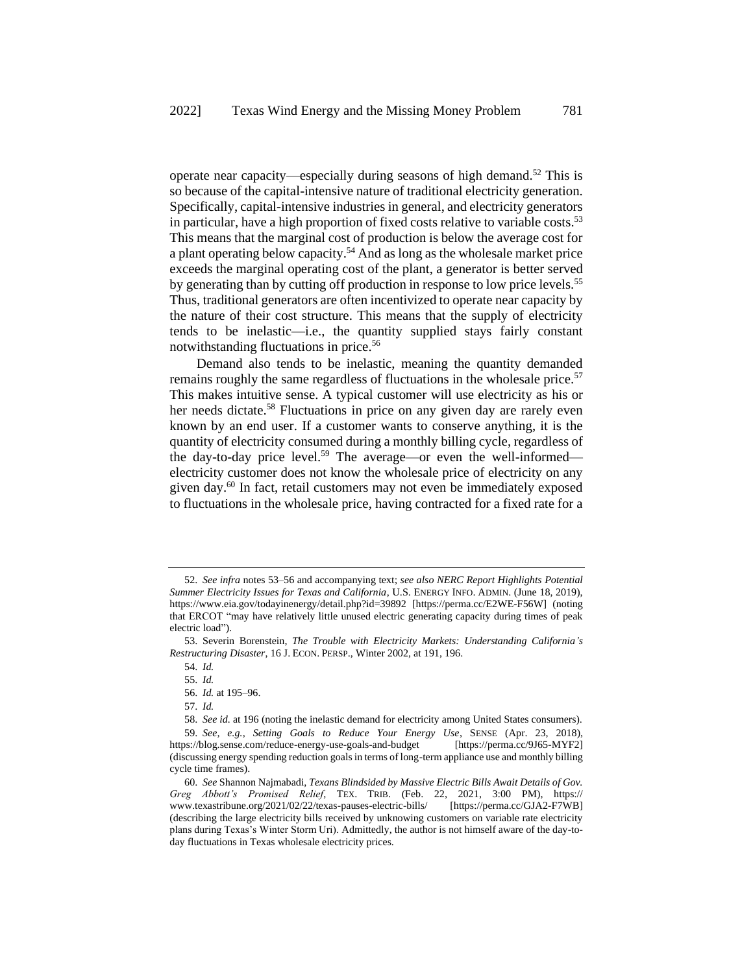<span id="page-10-2"></span><span id="page-10-0"></span>operate near capacity—especially during seasons of high demand.<sup>52</sup> This is so because of the capital-intensive nature of traditional electricity generation. Specifically, capital-intensive industries in general, and electricity generators in particular, have a high proportion of fixed costs relative to variable costs.<sup>53</sup> This means that the marginal cost of production is below the average cost for a plant operating below capacity.<sup>54</sup> And as long as the wholesale market price exceeds the marginal operating cost of the plant, a generator is better served by generating than by cutting off production in response to low price levels.<sup>55</sup> Thus, traditional generators are often incentivized to operate near capacity by the nature of their cost structure. This means that the supply of electricity tends to be inelastic—i.e., the quantity supplied stays fairly constant notwithstanding fluctuations in price.<sup>56</sup>

<span id="page-10-1"></span>Demand also tends to be inelastic, meaning the quantity demanded remains roughly the same regardless of fluctuations in the wholesale price.<sup>57</sup> This makes intuitive sense. A typical customer will use electricity as his or her needs dictate.<sup>58</sup> Fluctuations in price on any given day are rarely even known by an end user. If a customer wants to conserve anything, it is the quantity of electricity consumed during a monthly billing cycle, regardless of the day-to-day price level.<sup>59</sup> The average—or even the well-informed electricity customer does not know the wholesale price of electricity on any given day.<sup>60</sup> In fact, retail customers may not even be immediately exposed to fluctuations in the wholesale price, having contracted for a fixed rate for a

<sup>52.</sup> *See infra* notes [53](#page-10-0)[–56](#page-10-1) and accompanying text; *see also NERC Report Highlights Potential Summer Electricity Issues for Texas and California*, U.S. ENERGY INFO. ADMIN. (June 18, 2019), https://www.eia.gov/todayinenergy/detail.php?id=39892 [https://perma.cc/E2WE-F56W] (noting that ERCOT "may have relatively little unused electric generating capacity during times of peak electric load").

<sup>53.</sup> Severin Borenstein, *The Trouble with Electricity Markets: Understanding California's Restructuring Disaster*, 16 J. ECON. PERSP., Winter 2002, at 191, 196.

<sup>54.</sup> *Id.*

<sup>55.</sup> *Id.*

<sup>56.</sup> *Id.* at 195–96.

<sup>57.</sup> *Id.*

<sup>58.</sup> *See id.* at 196 (noting the inelastic demand for electricity among United States consumers). 59. *See, e.g.*, *Setting Goals to Reduce Your Energy Use*, SENSE (Apr. 23, 2018), https://blog.sense.com/reduce-energy-use-goals-and-budget [https://perma.cc/9J65-MYF2] (discussing energy spending reduction goals in terms of long-term appliance use and monthly billing cycle time frames).

<sup>60.</sup> *See* Shannon Najmabadi, *Texans Blindsided by Massive Electric Bills Await Details of Gov. Greg Abbott's Promised Relief*, TEX. TRIB. (Feb. 22, 2021, 3:00 PM), https:// www.texastribune.org/2021/02/22/texas-pauses-electric-bills/ [https://perma.cc/GJA2-F7WB] (describing the large electricity bills received by unknowing customers on variable rate electricity plans during Texas's Winter Storm Uri). Admittedly, the author is not himself aware of the day-today fluctuations in Texas wholesale electricity prices.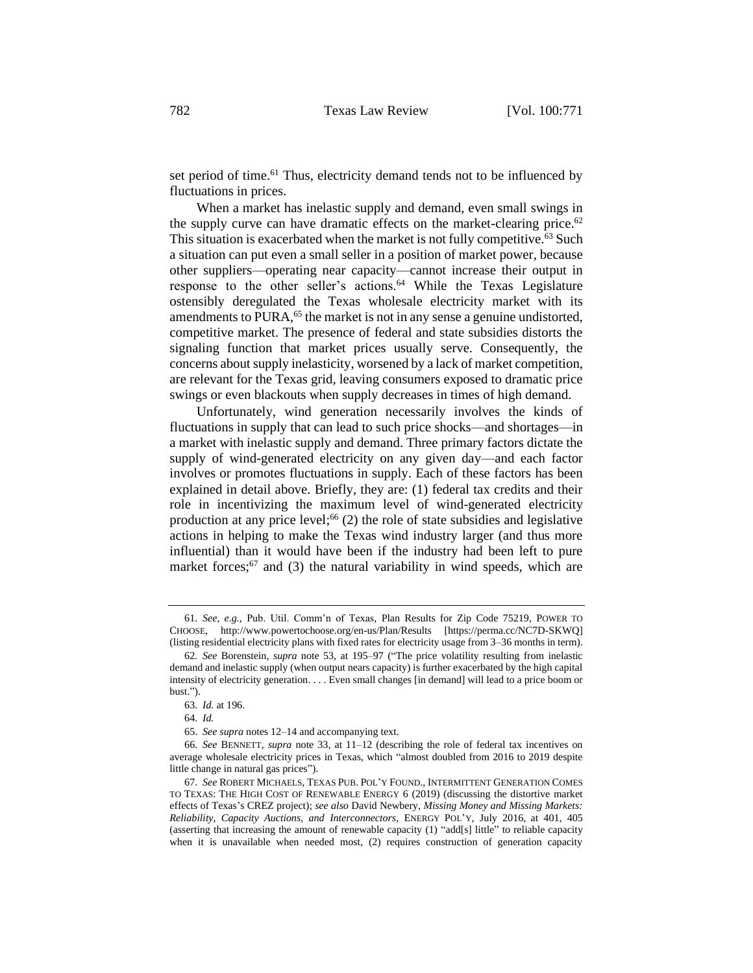set period of time.<sup>61</sup> Thus, electricity demand tends not to be influenced by fluctuations in prices.

When a market has inelastic supply and demand, even small swings in the supply curve can have dramatic effects on the market-clearing price. $62$ This situation is exacerbated when the market is not fully competitive.<sup>63</sup> Such a situation can put even a small seller in a position of market power, because other suppliers—operating near capacity—cannot increase their output in response to the other seller's actions.<sup>64</sup> While the Texas Legislature ostensibly deregulated the Texas wholesale electricity market with its amendments to PURA,<sup>65</sup> the market is not in any sense a genuine undistorted, competitive market. The presence of federal and state subsidies distorts the signaling function that market prices usually serve. Consequently, the concerns about supply inelasticity, worsened by a lack of market competition, are relevant for the Texas grid, leaving consumers exposed to dramatic price swings or even blackouts when supply decreases in times of high demand.

Unfortunately, wind generation necessarily involves the kinds of fluctuations in supply that can lead to such price shocks—and shortages—in a market with inelastic supply and demand. Three primary factors dictate the supply of wind-generated electricity on any given day—and each factor involves or promotes fluctuations in supply. Each of these factors has been explained in detail above. Briefly, they are: (1) federal tax credits and their role in incentivizing the maximum level of wind-generated electricity production at any price level;<sup>66</sup> (2) the role of state subsidies and legislative actions in helping to make the Texas wind industry larger (and thus more influential) than it would have been if the industry had been left to pure market forces; $67$  and (3) the natural variability in wind speeds, which are

<span id="page-11-0"></span><sup>61.</sup> *See, e.g.*, Pub. Util. Comm'n of Texas, Plan Results for Zip Code 75219, POWER TO CHOOSE, http://www.powertochoose.org/en-us/Plan/Results [https://perma.cc/NC7D-SKWQ] (listing residential electricity plans with fixed rates for electricity usage from 3–36 months in term).

<sup>62.</sup> *See* Borenstein, *supra* note [53,](#page-10-0) at 195–97 ("The price volatility resulting from inelastic demand and inelastic supply (when output nears capacity) is further exacerbated by the high capital intensity of electricity generation. . . . Even small changes [in demand] will lead to a price boom or bust.").

<sup>63.</sup> *Id.* at 196.

<sup>64.</sup> *Id.*

<sup>65.</sup> *See supra* note[s 12–](#page-3-0)[14](#page-3-1) and accompanying text.

<sup>66.</sup> *See* BENNETT, *supra* note [33,](#page-6-4) at 11–12 (describing the role of federal tax incentives on average wholesale electricity prices in Texas, which "almost doubled from 2016 to 2019 despite little change in natural gas prices").

<sup>67.</sup> *See* ROBERT MICHAELS, TEXAS PUB. POL'Y FOUND., INTERMITTENT GENERATION COMES TO TEXAS: THE HIGH COST OF RENEWABLE ENERGY 6 (2019) (discussing the distortive market effects of Texas's CREZ project); *see also* David Newbery, *Missing Money and Missing Markets: Reliability, Capacity Auctions, and Interconnectors*, ENERGY POL'Y, July 2016, at 401, 405 (asserting that increasing the amount of renewable capacity (1) "add[s] little" to reliable capacity when it is unavailable when needed most, (2) requires construction of generation capacity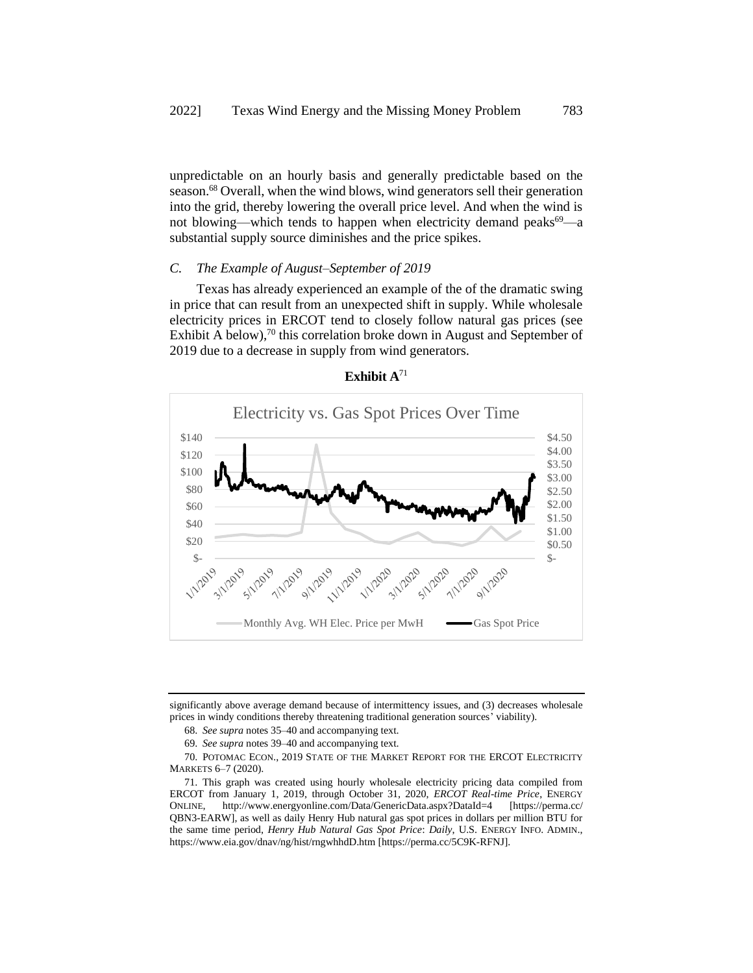<span id="page-12-1"></span>unpredictable on an hourly basis and generally predictable based on the season.<sup>68</sup> Overall, when the wind blows, wind generators sell their generation into the grid, thereby lowering the overall price level. And when the wind is not blowing—which tends to happen when electricity demand peaks $69$ —a substantial supply source diminishes and the price spikes.

#### *C. The Example of August–September of 2019*

Texas has already experienced an example of the of the dramatic swing in price that can result from an unexpected shift in supply. While wholesale electricity prices in ERCOT tend to closely follow natural gas prices (see Exhibit A below),<sup>70</sup> this correlation broke down in August and September of 2019 due to a decrease in supply from wind generators.



#### <span id="page-12-0"></span>**Exhibit A**<sup>71</sup>

69. *See supra* note[s 39–](#page-7-1)[40](#page-7-0) and accompanying text.

significantly above average demand because of intermittency issues, and (3) decreases wholesale prices in windy conditions thereby threatening traditional generation sources' viability).

<sup>68.</sup> *See supra* note[s 35–](#page-6-3)[40](#page-7-0) and accompanying text.

<sup>70.</sup> POTOMAC ECON., 2019 STATE OF THE MARKET REPORT FOR THE ERCOT ELECTRICITY MARKETS 6–7 (2020).

<sup>71.</sup> This graph was created using hourly wholesale electricity pricing data compiled from ERCOT from January 1, 2019, through October 31, 2020, *ERCOT Real-time Price*, ENERGY ONLINE, http://www.energyonline.com/Data/GenericData.aspx?DataId=4 [https://perma.cc/ QBN3-EARW], as well as daily Henry Hub natural gas spot prices in dollars per million BTU for the same time period, *Henry Hub Natural Gas Spot Price*: *Daily*, U.S. ENERGY INFO. ADMIN., https://www.eia.gov/dnav/ng/hist/rngwhhdD.htm [https://perma.cc/5C9K-RFNJ].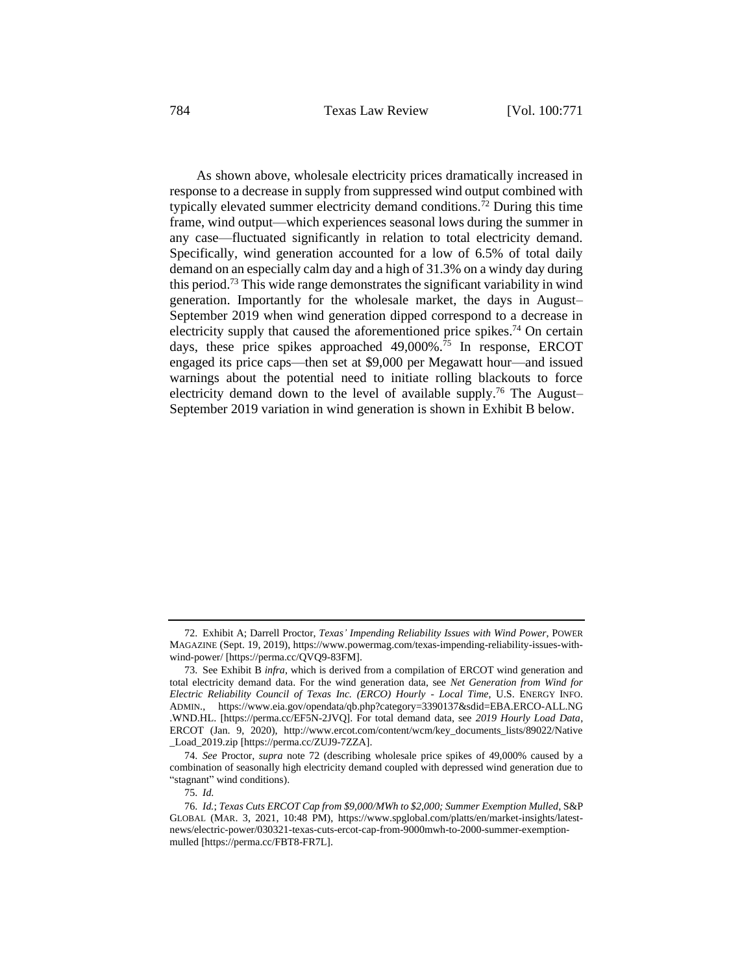<span id="page-13-0"></span>As shown above, wholesale electricity prices dramatically increased in response to a decrease in supply from suppressed wind output combined with typically elevated summer electricity demand conditions.<sup>72</sup> During this time frame, wind output—which experiences seasonal lows during the summer in any case—fluctuated significantly in relation to total electricity demand. Specifically, wind generation accounted for a low of 6.5% of total daily demand on an especially calm day and a high of 31.3% on a windy day during this period. <sup>73</sup> This wide range demonstrates the significant variability in wind generation. Importantly for the wholesale market, the days in August– September 2019 when wind generation dipped correspond to a decrease in electricity supply that caused the aforementioned price spikes.<sup>74</sup> On certain days, these price spikes approached 49,000%.<sup>75</sup> In response, ERCOT engaged its price caps—then set at \$9,000 per Megawatt hour—and issued warnings about the potential need to initiate rolling blackouts to force electricity demand down to the level of available supply.<sup>76</sup> The August– September 2019 variation in wind generation is shown in Exhibit B below.

<sup>72.</sup> Exhibit A; Darrell Proctor, *Texas' Impending Reliability Issues with Wind Power*, POWER MAGAZINE (Sept. 19, 2019), https://www.powermag.com/texas-impending-reliability-issues-withwind-power/ [https://perma.cc/QVQ9-83FM].

<sup>73.</sup> See Exhibit B *infra*, which is derived from a compilation of ERCOT wind generation and total electricity demand data. For the wind generation data, see *Net Generation from Wind for Electric Reliability Council of Texas Inc. (ERCO) Hourly - Local Time*, U.S. ENERGY INFO. ADMIN., https://www.eia.gov/opendata/qb.php?category=3390137&sdid=EBA.ERCO-ALL.NG .WND.HL. [https://perma.cc/EF5N-2JVQ]. For total demand data, see *2019 Hourly Load Data*, ERCOT (Jan. 9, 2020), http://www.ercot.com/content/wcm/key\_documents\_lists/89022/Native \_Load\_2019.zip [https://perma.cc/ZUJ9-7ZZA].

<sup>74.</sup> *See* Proctor, *supra* note [72](#page-13-0) (describing wholesale price spikes of 49,000% caused by a combination of seasonally high electricity demand coupled with depressed wind generation due to "stagnant" wind conditions).

<sup>75.</sup> *Id*.

<sup>76.</sup> *Id.*; *Texas Cuts ERCOT Cap from \$9,000/MWh to \$2,000; Summer Exemption Mulled*, S&P GLOBAL (MAR. 3, 2021, 10:48 PM), https://www.spglobal.com/platts/en/market-insights/latestnews/electric-power/030321-texas-cuts-ercot-cap-from-9000mwh-to-2000-summer-exemptionmulled [https://perma.cc/FBT8-FR7L].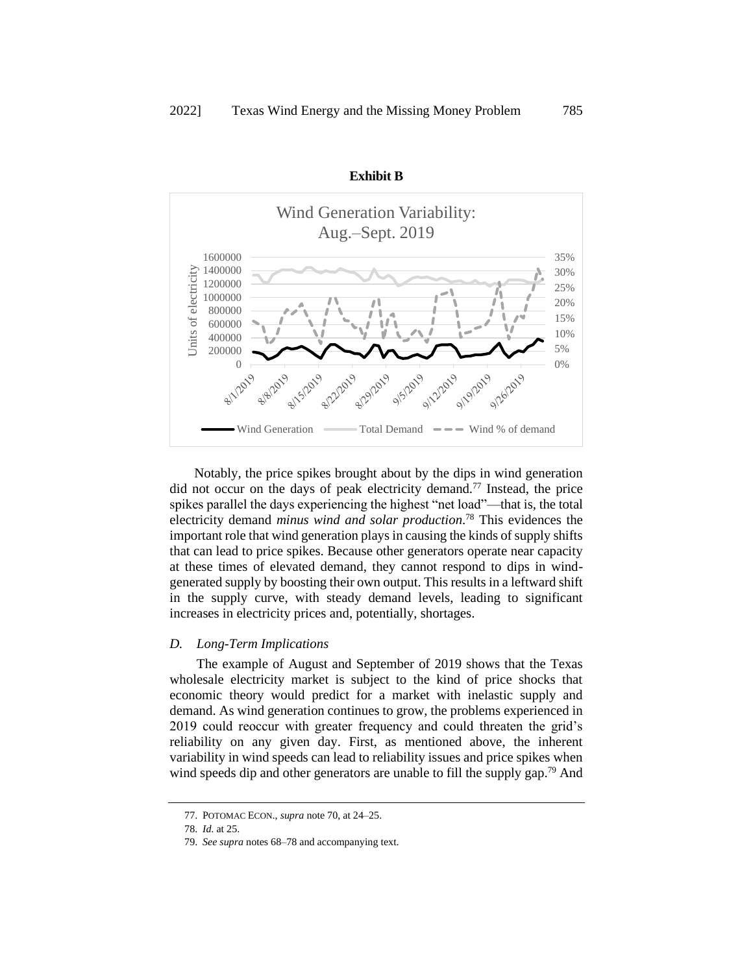

**Exhibit B**

<span id="page-14-0"></span>Notably, the price spikes brought about by the dips in wind generation did not occur on the days of peak electricity demand.<sup>77</sup> Instead, the price spikes parallel the days experiencing the highest "net load"—that is, the total electricity demand *minus wind and solar production*. <sup>78</sup> This evidences the important role that wind generation plays in causing the kinds of supply shifts that can lead to price spikes. Because other generators operate near capacity at these times of elevated demand, they cannot respond to dips in windgenerated supply by boosting their own output. This results in a leftward shift in the supply curve, with steady demand levels, leading to significant increases in electricity prices and, potentially, shortages.

## *D. Long-Term Implications*

The example of August and September of 2019 shows that the Texas wholesale electricity market is subject to the kind of price shocks that economic theory would predict for a market with inelastic supply and demand. As wind generation continues to grow, the problems experienced in 2019 could reoccur with greater frequency and could threaten the grid's reliability on any given day. First, as mentioned above, the inherent variability in wind speeds can lead to reliability issues and price spikes when wind speeds dip and other generators are unable to fill the supply gap.<sup>79</sup> And

<sup>77.</sup> POTOMAC ECON., *supra* not[e 70,](#page-12-0) at 24–25.

<sup>78.</sup> *Id*. at 25.

<sup>79.</sup> *See supra* note[s 68–](#page-12-1)[78](#page-14-0) and accompanying text.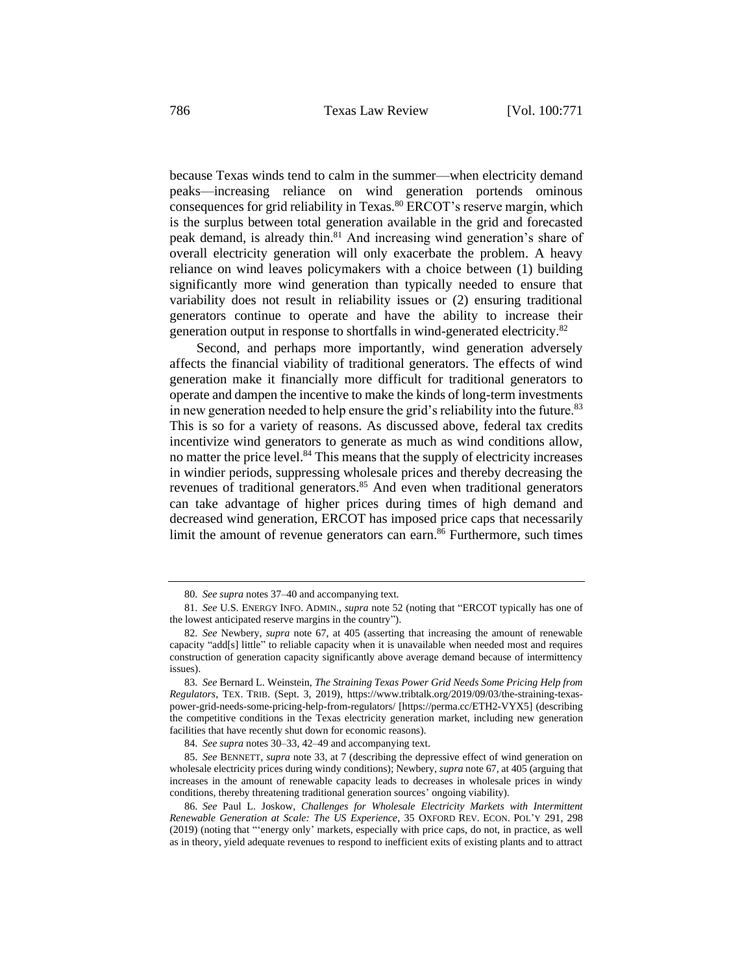because Texas winds tend to calm in the summer—when electricity demand peaks—increasing reliance on wind generation portends ominous consequences for grid reliability in Texas.<sup>80</sup> ERCOT's reserve margin, which is the surplus between total generation available in the grid and forecasted peak demand, is already thin.<sup>81</sup> And increasing wind generation's share of overall electricity generation will only exacerbate the problem. A heavy reliance on wind leaves policymakers with a choice between (1) building significantly more wind generation than typically needed to ensure that variability does not result in reliability issues or (2) ensuring traditional generators continue to operate and have the ability to increase their generation output in response to shortfalls in wind-generated electricity.<sup>82</sup>

<span id="page-15-1"></span><span id="page-15-0"></span>Second, and perhaps more importantly, wind generation adversely affects the financial viability of traditional generators. The effects of wind generation make it financially more difficult for traditional generators to operate and dampen the incentive to make the kinds of long-term investments in new generation needed to help ensure the grid's reliability into the future. $83$ This is so for a variety of reasons. As discussed above, federal tax credits incentivize wind generators to generate as much as wind conditions allow, no matter the price level.<sup>84</sup> This means that the supply of electricity increases in windier periods, suppressing wholesale prices and thereby decreasing the revenues of traditional generators.<sup>85</sup> And even when traditional generators can take advantage of higher prices during times of high demand and decreased wind generation, ERCOT has imposed price caps that necessarily limit the amount of revenue generators can earn.<sup>86</sup> Furthermore, such times

84. *See supra* note[s 30–](#page-5-2)[33,](#page-6-4) [42](#page-8-0)[–49](#page-9-2) and accompanying text.

<span id="page-15-2"></span><sup>80.</sup> *See supra* note[s 37–](#page-6-5)[40](#page-7-0) and accompanying text.

<sup>81.</sup> *See* U.S. ENERGY INFO. ADMIN., *supra* note [52](#page-10-2) (noting that "ERCOT typically has one of the lowest anticipated reserve margins in the country").

<sup>82.</sup> *See* Newbery, *supra* note [67,](#page-11-0) at 405 (asserting that increasing the amount of renewable capacity "add[s] little" to reliable capacity when it is unavailable when needed most and requires construction of generation capacity significantly above average demand because of intermittency issues).

<sup>83.</sup> *See* Bernard L. Weinstein, *The Straining Texas Power Grid Needs Some Pricing Help from Regulators*, TEX. TRIB. (Sept. 3, 2019), https://www.tribtalk.org/2019/09/03/the-straining-texaspower-grid-needs-some-pricing-help-from-regulators/ [https://perma.cc/ETH2-VYX5] (describing the competitive conditions in the Texas electricity generation market, including new generation facilities that have recently shut down for economic reasons).

<sup>85.</sup> *See* BENNETT, *supra* not[e 33,](#page-6-4) at 7 (describing the depressive effect of wind generation on wholesale electricity prices during windy conditions); Newbery, *supra* not[e 67,](#page-11-0) at 405 (arguing that increases in the amount of renewable capacity leads to decreases in wholesale prices in windy conditions, thereby threatening traditional generation sources' ongoing viability).

<sup>86.</sup> *See* Paul L. Joskow, *Challenges for Wholesale Electricity Markets with Intermittent Renewable Generation at Scale: The US Experience*, 35 OXFORD REV. ECON. POL'Y 291, 298 (2019) (noting that "'energy only' markets, especially with price caps, do not, in practice, as well as in theory, yield adequate revenues to respond to inefficient exits of existing plants and to attract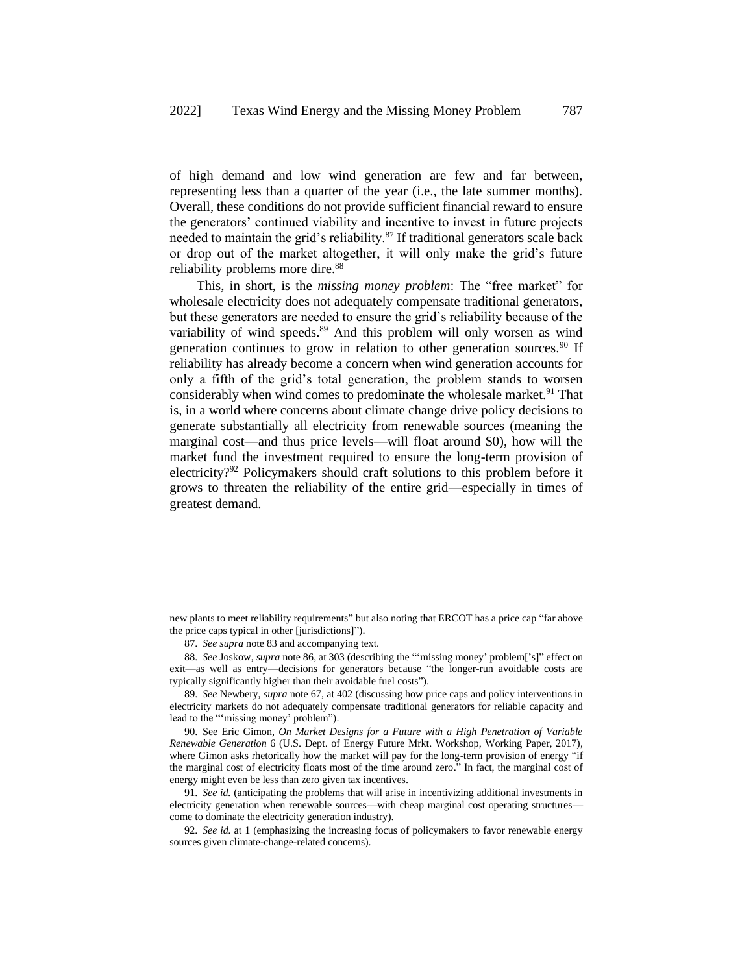of high demand and low wind generation are few and far between, representing less than a quarter of the year (i.e., the late summer months). Overall, these conditions do not provide sufficient financial reward to ensure the generators' continued viability and incentive to invest in future projects needed to maintain the grid's reliability.<sup>87</sup> If traditional generators scale back or drop out of the market altogether, it will only make the grid's future reliability problems more dire.<sup>88</sup>

This, in short, is the *missing money problem*: The "free market" for wholesale electricity does not adequately compensate traditional generators, but these generators are needed to ensure the grid's reliability because of the variability of wind speeds.<sup>89</sup> And this problem will only worsen as wind generation continues to grow in relation to other generation sources.<sup>90</sup> If reliability has already become a concern when wind generation accounts for only a fifth of the grid's total generation, the problem stands to worsen considerably when wind comes to predominate the wholesale market.<sup>91</sup> That is, in a world where concerns about climate change drive policy decisions to generate substantially all electricity from renewable sources (meaning the marginal cost—and thus price levels—will float around \$0), how will the market fund the investment required to ensure the long-term provision of electricity?<sup>92</sup> Policymakers should craft solutions to this problem before it grows to threaten the reliability of the entire grid—especially in times of greatest demand.

<span id="page-16-0"></span>new plants to meet reliability requirements" but also noting that ERCOT has a price cap "far above the price caps typical in other [jurisdictions]").

<sup>87.</sup> *See supra* note [83](#page-15-0) and accompanying text.

<sup>88.</sup> *See* Joskow, *supra* not[e 86,](#page-15-2) at 303 (describing the "'missing money' problem['s]" effect on exit—as well as entry—decisions for generators because "the longer-run avoidable costs are typically significantly higher than their avoidable fuel costs").

<sup>89.</sup> *See* Newbery, *supra* not[e 67,](#page-11-0) at 402 (discussing how price caps and policy interventions in electricity markets do not adequately compensate traditional generators for reliable capacity and lead to the "'missing money' problem").

<sup>90.</sup> See Eric Gimon, *On Market Designs for a Future with a High Penetration of Variable Renewable Generation* 6 (U.S. Dept. of Energy Future Mrkt. Workshop, Working Paper, 2017), where Gimon asks rhetorically how the market will pay for the long-term provision of energy "if the marginal cost of electricity floats most of the time around zero." In fact, the marginal cost of energy might even be less than zero given tax incentives.

<sup>91.</sup> *See id.* (anticipating the problems that will arise in incentivizing additional investments in electricity generation when renewable sources—with cheap marginal cost operating structures come to dominate the electricity generation industry).

<sup>92.</sup> *See id.* at 1 (emphasizing the increasing focus of policymakers to favor renewable energy sources given climate-change-related concerns).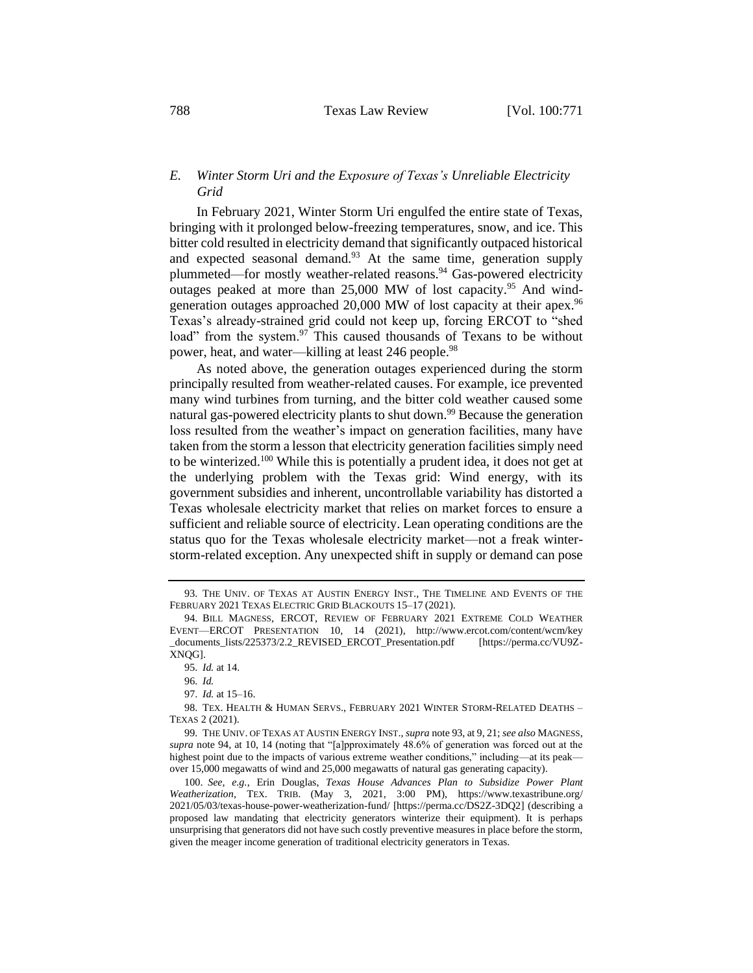## *E. Winter Storm Uri and the Exposure of Texas's Unreliable Electricity Grid*

<span id="page-17-1"></span><span id="page-17-0"></span>In February 2021, Winter Storm Uri engulfed the entire state of Texas, bringing with it prolonged below-freezing temperatures, snow, and ice. This bitter cold resulted in electricity demand that significantly outpaced historical and expected seasonal demand.<sup>93</sup> At the same time, generation supply plummeted—for mostly weather-related reasons.<sup>94</sup> Gas-powered electricity outages peaked at more than 25,000 MW of lost capacity.<sup>95</sup> And windgeneration outages approached 20,000 MW of lost capacity at their apex.<sup>96</sup> Texas's already-strained grid could not keep up, forcing ERCOT to "shed load" from the system.<sup>97</sup> This caused thousands of Texans to be without power, heat, and water—killing at least 246 people.<sup>98</sup>

As noted above, the generation outages experienced during the storm principally resulted from weather-related causes. For example, ice prevented many wind turbines from turning, and the bitter cold weather caused some natural gas-powered electricity plants to shut down.<sup>99</sup> Because the generation loss resulted from the weather's impact on generation facilities, many have taken from the storm a lesson that electricity generation facilities simply need to be winterized.<sup>100</sup> While this is potentially a prudent idea, it does not get at the underlying problem with the Texas grid: Wind energy, with its government subsidies and inherent, uncontrollable variability has distorted a Texas wholesale electricity market that relies on market forces to ensure a sufficient and reliable source of electricity. Lean operating conditions are the status quo for the Texas wholesale electricity market—not a freak winterstorm-related exception. Any unexpected shift in supply or demand can pose

<sup>93.</sup> THE UNIV. OF TEXAS AT AUSTIN ENERGY INST., THE TIMELINE AND EVENTS OF THE FEBRUARY 2021 TEXAS ELECTRIC GRID BLACKOUTS 15–17 (2021).

<sup>94.</sup> BILL MAGNESS, ERCOT, REVIEW OF FEBRUARY 2021 EXTREME COLD WEATHER EVENT—ERCOT PRESENTATION 10, 14 (2021), http://www.ercot.com/content/wcm/key \_documents\_lists/225373/2.2\_REVISED\_ERCOT\_Presentation.pdf [https://perma.cc/VU9Z-XNQG].

<sup>95.</sup> *Id.* at 14.

<sup>96.</sup> *Id.*

<sup>97.</sup> *Id.* at 15–16.

<sup>98.</sup> TEX. HEALTH & HUMAN SERVS., FEBRUARY 2021 WINTER STORM-RELATED DEATHS – TEXAS 2 (2021).

<sup>99.</sup> THE UNIV. OF TEXAS AT AUSTIN ENERGY INST., *supra* not[e 93,](#page-17-0) at 9, 21; *see also* MAGNESS, *supra* note [94,](#page-17-1) at 10, 14 (noting that "[a]pproximately 48.6% of generation was forced out at the highest point due to the impacts of various extreme weather conditions," including—at its peak over 15,000 megawatts of wind and 25,000 megawatts of natural gas generating capacity).

<sup>100.</sup> *See, e.g.*, Erin Douglas, *Texas House Advances Plan to Subsidize Power Plant Weatherization*, TEX. TRIB. (May 3, 2021, 3:00 PM), https://www.texastribune.org/ 2021/05/03/texas-house-power-weatherization-fund/ [https://perma.cc/DS2Z-3DQ2] (describing a proposed law mandating that electricity generators winterize their equipment). It is perhaps unsurprising that generators did not have such costly preventive measures in place before the storm, given the meager income generation of traditional electricity generators in Texas.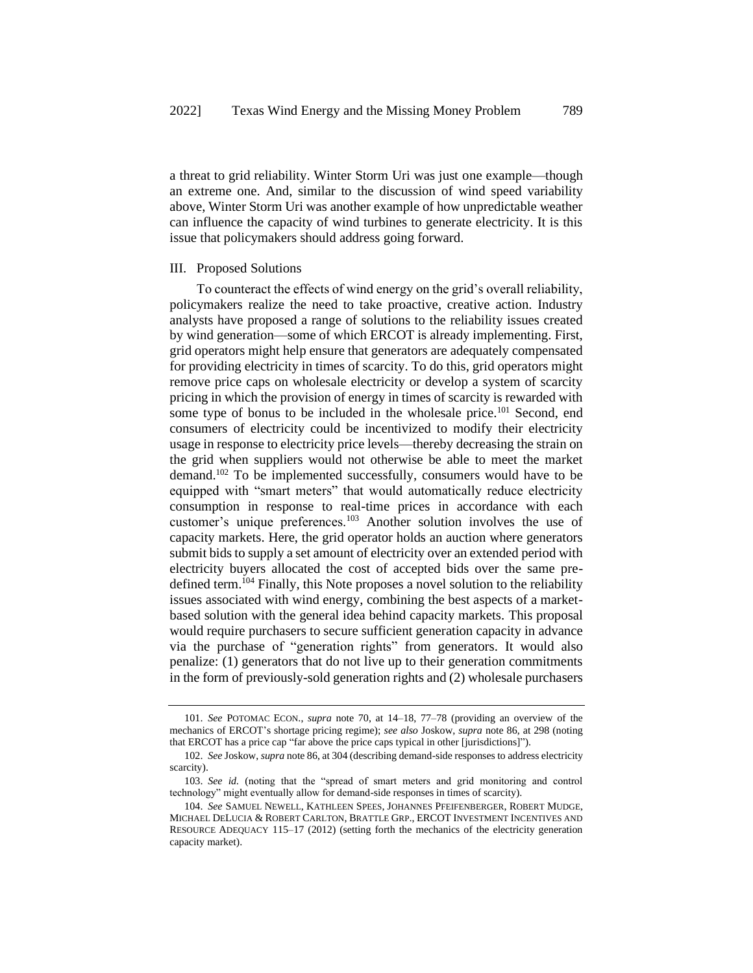a threat to grid reliability. Winter Storm Uri was just one example—though an extreme one. And, similar to the discussion of wind speed variability above, Winter Storm Uri was another example of how unpredictable weather can influence the capacity of wind turbines to generate electricity. It is this issue that policymakers should address going forward.

#### III. Proposed Solutions

To counteract the effects of wind energy on the grid's overall reliability, policymakers realize the need to take proactive, creative action. Industry analysts have proposed a range of solutions to the reliability issues created by wind generation—some of which ERCOT is already implementing. First, grid operators might help ensure that generators are adequately compensated for providing electricity in times of scarcity. To do this, grid operators might remove price caps on wholesale electricity or develop a system of scarcity pricing in which the provision of energy in times of scarcity is rewarded with some type of bonus to be included in the wholesale price.<sup>101</sup> Second, end consumers of electricity could be incentivized to modify their electricity usage in response to electricity price levels—thereby decreasing the strain on the grid when suppliers would not otherwise be able to meet the market demand.<sup>102</sup> To be implemented successfully, consumers would have to be equipped with "smart meters" that would automatically reduce electricity consumption in response to real-time prices in accordance with each customer's unique preferences.<sup>103</sup> Another solution involves the use of capacity markets. Here, the grid operator holds an auction where generators submit bids to supply a set amount of electricity over an extended period with electricity buyers allocated the cost of accepted bids over the same predefined term.<sup>104</sup> Finally, this Note proposes a novel solution to the reliability issues associated with wind energy, combining the best aspects of a marketbased solution with the general idea behind capacity markets. This proposal would require purchasers to secure sufficient generation capacity in advance via the purchase of "generation rights" from generators. It would also penalize: (1) generators that do not live up to their generation commitments in the form of previously-sold generation rights and (2) wholesale purchasers

<span id="page-18-0"></span><sup>101.</sup> *See* POTOMAC ECON., *supra* note [70,](#page-12-0) at 14–18, 77–78 (providing an overview of the mechanics of ERCOT's shortage pricing regime); *see also* Joskow, *supra* note [86,](#page-15-2) at 298 (noting that ERCOT has a price cap "far above the price caps typical in other [jurisdictions]").

<sup>102.</sup> *See* Joskow, *supra* not[e 86,](#page-15-2) at 304 (describing demand-side responses to address electricity scarcity).

<sup>103.</sup> *See id.* (noting that the "spread of smart meters and grid monitoring and control technology" might eventually allow for demand-side responses in times of scarcity).

<sup>104.</sup> *See* SAMUEL NEWELL, KATHLEEN SPEES, JOHANNES PFEIFENBERGER, ROBERT MUDGE, MICHAEL DELUCIA & ROBERT CARLTON, BRATTLE GRP., ERCOT INVESTMENT INCENTIVES AND RESOURCE ADEQUACY 115–17 (2012) (setting forth the mechanics of the electricity generation capacity market).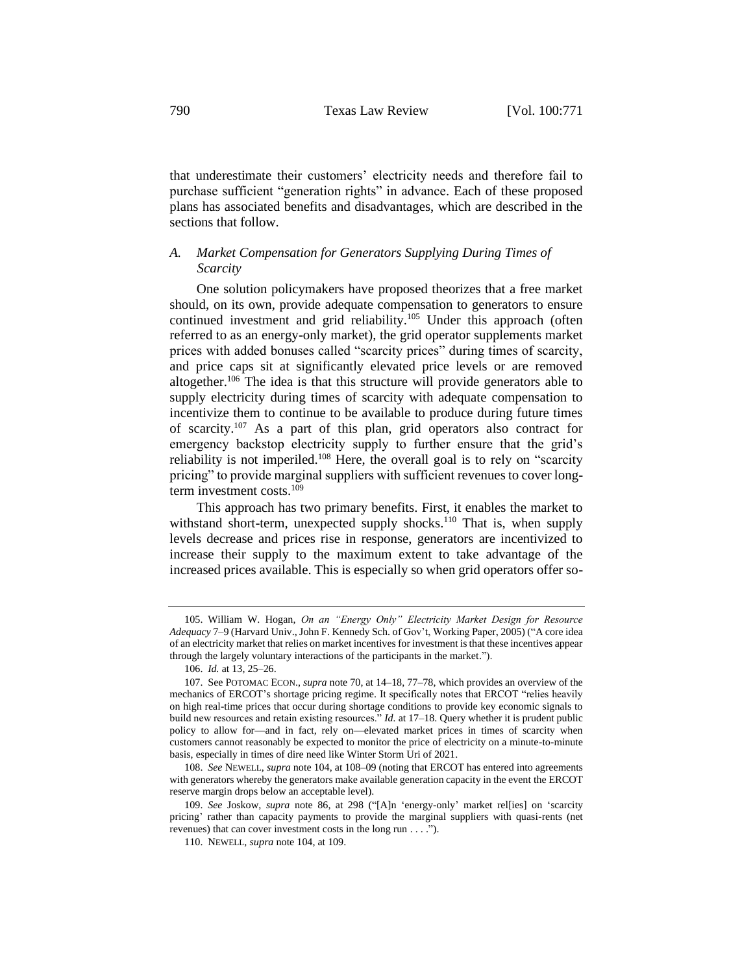that underestimate their customers' electricity needs and therefore fail to purchase sufficient "generation rights" in advance. Each of these proposed plans has associated benefits and disadvantages, which are described in the sections that follow.

# *A. Market Compensation for Generators Supplying During Times of Scarcity*

One solution policymakers have proposed theorizes that a free market should, on its own, provide adequate compensation to generators to ensure continued investment and grid reliability.<sup>105</sup> Under this approach (often referred to as an energy-only market), the grid operator supplements market prices with added bonuses called "scarcity prices" during times of scarcity, and price caps sit at significantly elevated price levels or are removed altogether.<sup>106</sup> The idea is that this structure will provide generators able to supply electricity during times of scarcity with adequate compensation to incentivize them to continue to be available to produce during future times of scarcity.<sup>107</sup> As a part of this plan, grid operators also contract for emergency backstop electricity supply to further ensure that the grid's reliability is not imperiled.<sup>108</sup> Here, the overall goal is to rely on "scarcity pricing" to provide marginal suppliers with sufficient revenues to cover longterm investment costs.<sup>109</sup>

This approach has two primary benefits. First, it enables the market to withstand short-term, unexpected supply shocks.<sup>110</sup> That is, when supply levels decrease and prices rise in response, generators are incentivized to increase their supply to the maximum extent to take advantage of the increased prices available. This is especially so when grid operators offer so-

<sup>105.</sup> William W. Hogan, *On an "Energy Only" Electricity Market Design for Resource Adequacy* 7–9 (Harvard Univ., John F. Kennedy Sch. of Gov't, Working Paper, 2005) ("A core idea of an electricity market that relies on market incentives for investment is that these incentives appear through the largely voluntary interactions of the participants in the market.").

<sup>106.</sup> *Id.* at 13, 25–26.

<sup>107.</sup> See POTOMAC ECON., *supra* not[e 70,](#page-12-0) at 14–18, 77–78, which provides an overview of the mechanics of ERCOT's shortage pricing regime. It specifically notes that ERCOT "relies heavily on high real-time prices that occur during shortage conditions to provide key economic signals to build new resources and retain existing resources." *Id.* at 17–18. Query whether it is prudent public policy to allow for—and in fact, rely on—elevated market prices in times of scarcity when customers cannot reasonably be expected to monitor the price of electricity on a minute-to-minute basis, especially in times of dire need like Winter Storm Uri of 2021.

<sup>108.</sup> *See* NEWELL, *supra* not[e 104,](#page-18-0) at 108–09 (noting that ERCOT has entered into agreements with generators whereby the generators make available generation capacity in the event the ERCOT reserve margin drops below an acceptable level).

<sup>109.</sup> *See* Joskow, *supra* note [86,](#page-15-2) at 298 ("[A]n 'energy-only' market rel[ies] on 'scarcity pricing' rather than capacity payments to provide the marginal suppliers with quasi-rents (net revenues) that can cover investment costs in the long run . . . .").

<sup>110.</sup> NEWELL, *supra* not[e 104,](#page-18-0) at 109.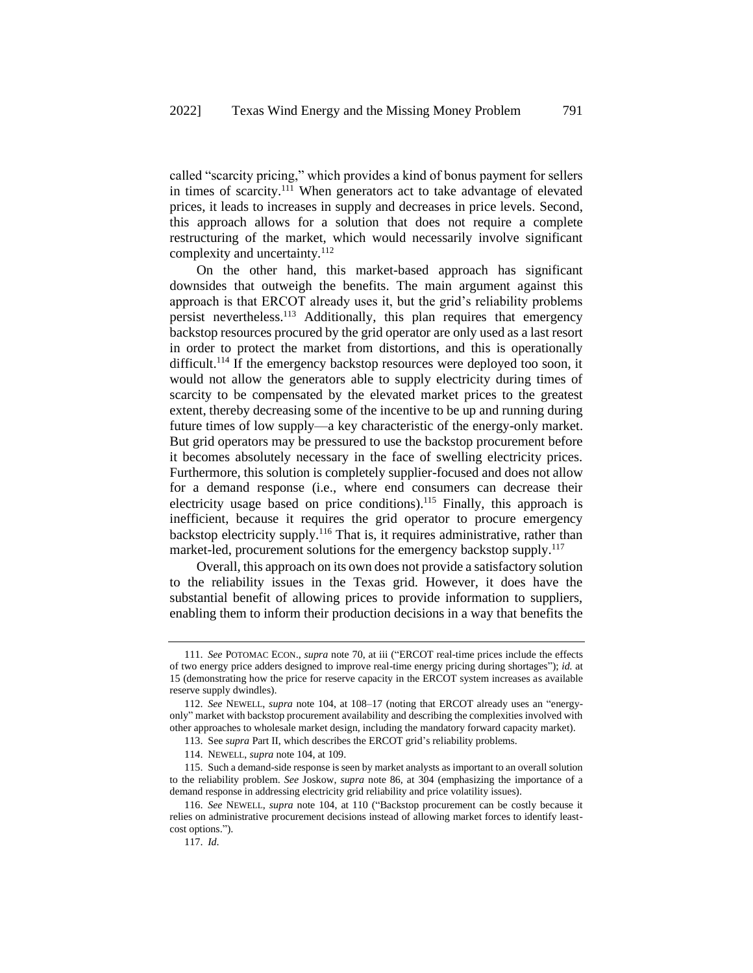called "scarcity pricing," which provides a kind of bonus payment for sellers in times of scarcity.<sup>111</sup> When generators act to take advantage of elevated prices, it leads to increases in supply and decreases in price levels. Second, this approach allows for a solution that does not require a complete restructuring of the market, which would necessarily involve significant complexity and uncertainty.<sup>112</sup>

On the other hand, this market-based approach has significant downsides that outweigh the benefits. The main argument against this approach is that ERCOT already uses it, but the grid's reliability problems persist nevertheless.<sup>113</sup> Additionally, this plan requires that emergency backstop resources procured by the grid operator are only used as a last resort in order to protect the market from distortions, and this is operationally difficult.<sup>114</sup> If the emergency backstop resources were deployed too soon, it would not allow the generators able to supply electricity during times of scarcity to be compensated by the elevated market prices to the greatest extent, thereby decreasing some of the incentive to be up and running during future times of low supply—a key characteristic of the energy-only market. But grid operators may be pressured to use the backstop procurement before it becomes absolutely necessary in the face of swelling electricity prices. Furthermore, this solution is completely supplier-focused and does not allow for a demand response (i.e., where end consumers can decrease their electricity usage based on price conditions).<sup>115</sup> Finally, this approach is inefficient, because it requires the grid operator to procure emergency backstop electricity supply.<sup>116</sup> That is, it requires administrative, rather than market-led, procurement solutions for the emergency backstop supply.<sup>117</sup>

Overall, this approach on its own does not provide a satisfactory solution to the reliability issues in the Texas grid. However, it does have the substantial benefit of allowing prices to provide information to suppliers, enabling them to inform their production decisions in a way that benefits the

<sup>111.</sup> *See* POTOMAC ECON., *supra* not[e 70,](#page-12-0) at iii ("ERCOT real-time prices include the effects of two energy price adders designed to improve real-time energy pricing during shortages"); *id.* at 15 (demonstrating how the price for reserve capacity in the ERCOT system increases as available reserve supply dwindles).

<sup>112.</sup> *See* NEWELL, *supra* note [104,](#page-18-0) at 108–17 (noting that ERCOT already uses an "energyonly" market with backstop procurement availability and describing the complexities involved with other approaches to wholesale market design, including the mandatory forward capacity market).

<sup>113.</sup> See *supra* Part II, which describes the ERCOT grid's reliability problems.

<sup>114.</sup> NEWELL, *supra* not[e 104,](#page-18-0) at 109.

<sup>115.</sup> Such a demand-side response is seen by market analysts as important to an overall solution to the reliability problem. *See* Joskow, *supra* note [86,](#page-15-2) at 304 (emphasizing the importance of a demand response in addressing electricity grid reliability and price volatility issues).

<sup>116.</sup> *See* NEWELL, *supra* note [104,](#page-18-0) at 110 ("Backstop procurement can be costly because it relies on administrative procurement decisions instead of allowing market forces to identify leastcost options.").

<sup>117.</sup> *Id*.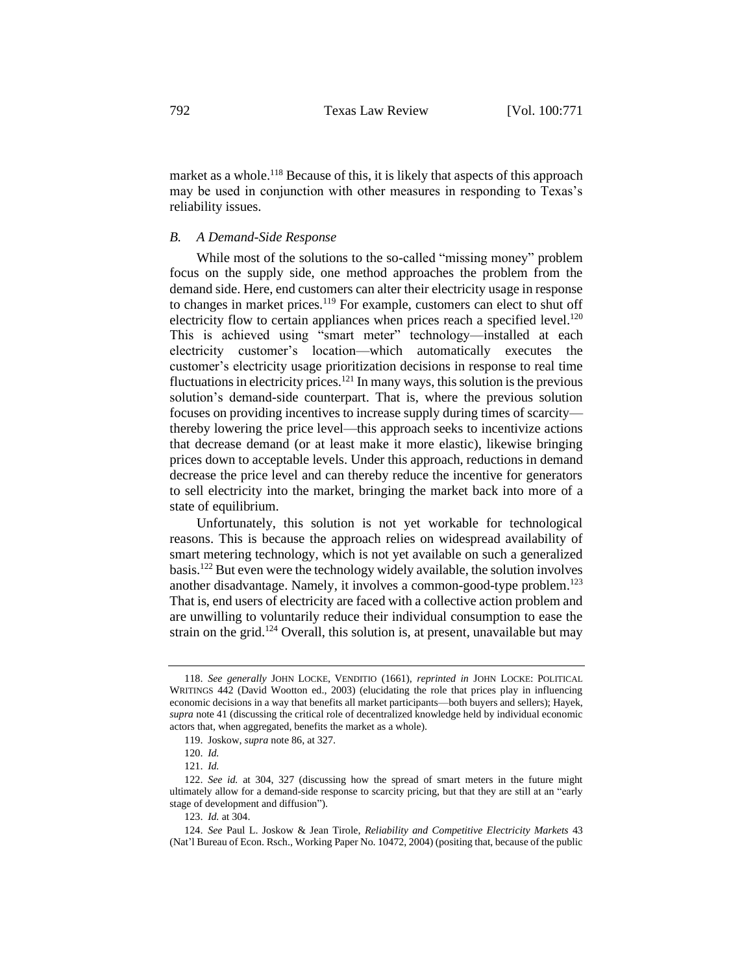market as a whole.<sup>118</sup> Because of this, it is likely that aspects of this approach may be used in conjunction with other measures in responding to Texas's reliability issues.

## *B. A Demand-Side Response*

While most of the solutions to the so-called "missing money" problem focus on the supply side, one method approaches the problem from the demand side. Here, end customers can alter their electricity usage in response to changes in market prices.<sup>119</sup> For example, customers can elect to shut off electricity flow to certain appliances when prices reach a specified level.<sup>120</sup> This is achieved using "smart meter" technology—installed at each electricity customer's location—which automatically executes the customer's electricity usage prioritization decisions in response to real time fluctuations in electricity prices.<sup>121</sup> In many ways, this solution is the previous solution's demand-side counterpart. That is, where the previous solution focuses on providing incentives to increase supply during times of scarcity thereby lowering the price level—this approach seeks to incentivize actions that decrease demand (or at least make it more elastic), likewise bringing prices down to acceptable levels. Under this approach, reductions in demand decrease the price level and can thereby reduce the incentive for generators to sell electricity into the market, bringing the market back into more of a state of equilibrium.

Unfortunately, this solution is not yet workable for technological reasons. This is because the approach relies on widespread availability of smart metering technology, which is not yet available on such a generalized basis.<sup>122</sup> But even were the technology widely available, the solution involves another disadvantage. Namely, it involves a common-good-type problem.<sup>123</sup> That is, end users of electricity are faced with a collective action problem and are unwilling to voluntarily reduce their individual consumption to ease the strain on the grid.<sup>124</sup> Overall, this solution is, at present, unavailable but may

<sup>118.</sup> *See generally* JOHN LOCKE, VENDITIO (1661), *reprinted in* JOHN LOCKE: POLITICAL WRITINGS 442 (David Wootton ed., 2003) (elucidating the role that prices play in influencing economic decisions in a way that benefits all market participants—both buyers and sellers); Hayek, *supra* not[e 41](#page-8-2) (discussing the critical role of decentralized knowledge held by individual economic actors that, when aggregated, benefits the market as a whole).

<sup>119.</sup> Joskow, *supra* not[e 86,](#page-15-2) at 327.

<sup>120.</sup> *Id.*

<sup>121.</sup> *Id.*

<sup>122.</sup> *See id.* at 304, 327 (discussing how the spread of smart meters in the future might ultimately allow for a demand-side response to scarcity pricing, but that they are still at an "early stage of development and diffusion").

<sup>123.</sup> *Id.* at 304.

<sup>124.</sup> *See* Paul L. Joskow & Jean Tirole, *Reliability and Competitive Electricity Markets* 43 (Nat'l Bureau of Econ. Rsch., Working Paper No. 10472, 2004) (positing that, because of the public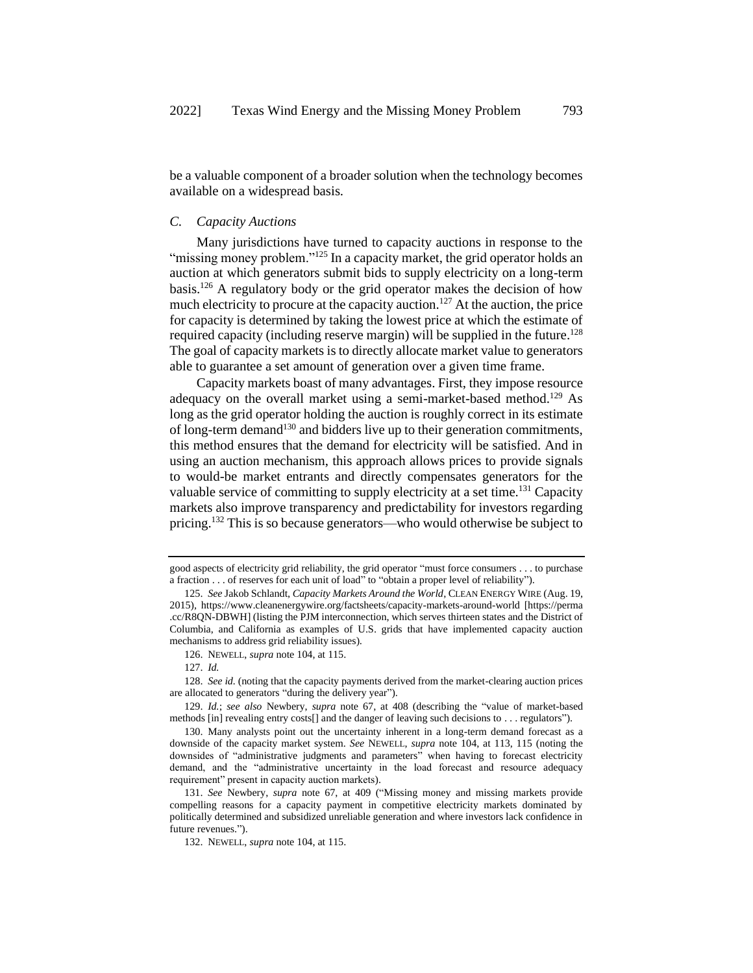be a valuable component of a broader solution when the technology becomes available on a widespread basis.

## *C. Capacity Auctions*

Many jurisdictions have turned to capacity auctions in response to the "missing money problem."<sup>125</sup> In a capacity market, the grid operator holds an auction at which generators submit bids to supply electricity on a long-term basis.<sup>126</sup> A regulatory body or the grid operator makes the decision of how much electricity to procure at the capacity auction.<sup>127</sup> At the auction, the price for capacity is determined by taking the lowest price at which the estimate of required capacity (including reserve margin) will be supplied in the future.<sup>128</sup> The goal of capacity markets is to directly allocate market value to generators able to guarantee a set amount of generation over a given time frame.

Capacity markets boast of many advantages. First, they impose resource adequacy on the overall market using a semi-market-based method.<sup>129</sup> As long as the grid operator holding the auction is roughly correct in its estimate of long-term demand<sup>130</sup> and bidders live up to their generation commitments, this method ensures that the demand for electricity will be satisfied. And in using an auction mechanism, this approach allows prices to provide signals to would-be market entrants and directly compensates generators for the valuable service of committing to supply electricity at a set time.<sup>131</sup> Capacity markets also improve transparency and predictability for investors regarding pricing.<sup>132</sup> This is so because generators—who would otherwise be subject to

good aspects of electricity grid reliability, the grid operator "must force consumers . . . to purchase a fraction . . . of reserves for each unit of load" to "obtain a proper level of reliability").

<sup>125.</sup> *See* Jakob Schlandt, *Capacity Markets Around the World*, CLEAN ENERGY WIRE (Aug. 19, 2015), https://www.cleanenergywire.org/factsheets/capacity-markets-around-world [https://perma .cc/R8QN-DBWH] (listing the PJM interconnection, which serves thirteen states and the District of Columbia, and California as examples of U.S. grids that have implemented capacity auction mechanisms to address grid reliability issues).

<sup>126.</sup> NEWELL, *supra* not[e 104,](#page-18-0) at 115.

<sup>127.</sup> *Id.*

<sup>128.</sup> *See id.* (noting that the capacity payments derived from the market-clearing auction prices are allocated to generators "during the delivery year").

<sup>129.</sup> *Id.*; *see also* Newbery, *supra* note [67,](#page-11-0) at 408 (describing the "value of market-based methods [in] revealing entry costs[] and the danger of leaving such decisions to . . . regulators").

<sup>130.</sup> Many analysts point out the uncertainty inherent in a long-term demand forecast as a downside of the capacity market system. *See* NEWELL, *supra* note [104,](#page-18-0) at 113, 115 (noting the downsides of "administrative judgments and parameters" when having to forecast electricity demand, and the "administrative uncertainty in the load forecast and resource adequacy requirement" present in capacity auction markets).

<sup>131.</sup> *See* Newbery, *supra* note [67,](#page-11-0) at 409 ("Missing money and missing markets provide compelling reasons for a capacity payment in competitive electricity markets dominated by politically determined and subsidized unreliable generation and where investors lack confidence in future revenues.").

<sup>132.</sup> NEWELL, *supra* not[e 104,](#page-18-0) at 115.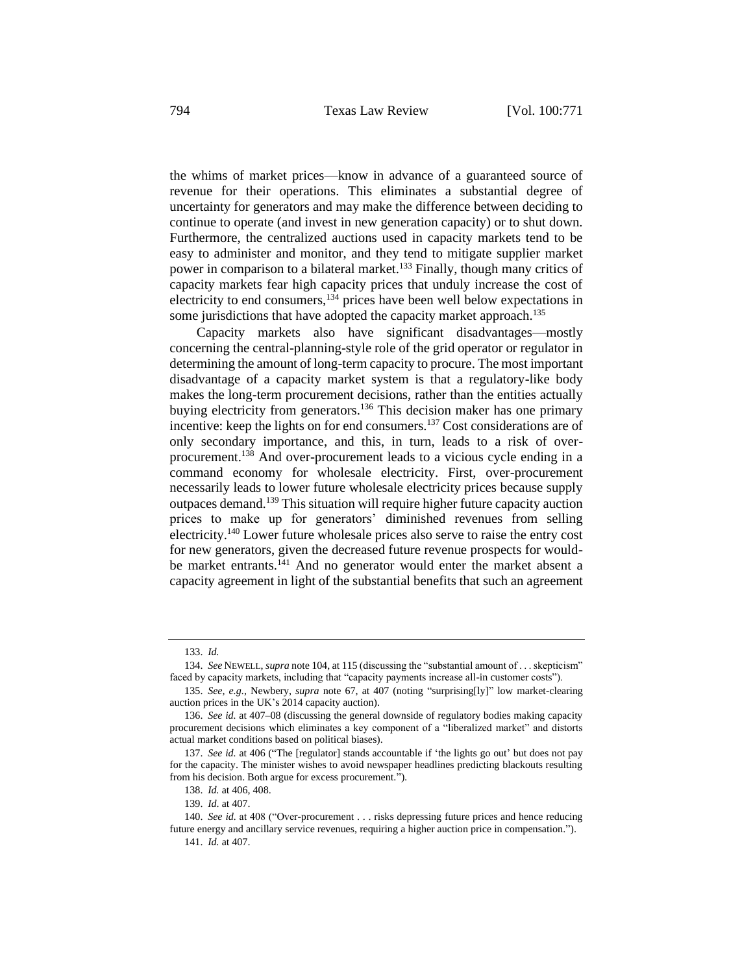the whims of market prices—know in advance of a guaranteed source of revenue for their operations. This eliminates a substantial degree of uncertainty for generators and may make the difference between deciding to continue to operate (and invest in new generation capacity) or to shut down. Furthermore, the centralized auctions used in capacity markets tend to be easy to administer and monitor, and they tend to mitigate supplier market power in comparison to a bilateral market.<sup>133</sup> Finally, though many critics of capacity markets fear high capacity prices that unduly increase the cost of electricity to end consumers,<sup>134</sup> prices have been well below expectations in some jurisdictions that have adopted the capacity market approach.<sup>135</sup>

<span id="page-23-0"></span>Capacity markets also have significant disadvantages—mostly concerning the central-planning-style role of the grid operator or regulator in determining the amount of long-term capacity to procure. The most important disadvantage of a capacity market system is that a regulatory-like body makes the long-term procurement decisions, rather than the entities actually buying electricity from generators.<sup>136</sup> This decision maker has one primary incentive: keep the lights on for end consumers.<sup>137</sup> Cost considerations are of only secondary importance, and this, in turn, leads to a risk of overprocurement.<sup>138</sup> And over-procurement leads to a vicious cycle ending in a command economy for wholesale electricity. First, over-procurement necessarily leads to lower future wholesale electricity prices because supply outpaces demand.<sup>139</sup> This situation will require higher future capacity auction prices to make up for generators' diminished revenues from selling electricity. <sup>140</sup> Lower future wholesale prices also serve to raise the entry cost for new generators, given the decreased future revenue prospects for wouldbe market entrants.<sup>141</sup> And no generator would enter the market absent a capacity agreement in light of the substantial benefits that such an agreement

<sup>133.</sup> *Id.*

<sup>134.</sup> *See* NEWELL, *supra* not[e 104,](#page-18-0) at 115 (discussing the "substantial amount of . . . skepticism" faced by capacity markets, including that "capacity payments increase all-in customer costs").

<sup>135.</sup> *See, e.g.*, Newbery, *supra* note [67,](#page-11-0) at 407 (noting "surprising[ly]" low market-clearing auction prices in the UK's 2014 capacity auction).

<sup>136.</sup> *See id.* at 407–08 (discussing the general downside of regulatory bodies making capacity procurement decisions which eliminates a key component of a "liberalized market" and distorts actual market conditions based on political biases).

<sup>137.</sup> *See id.* at 406 ("The [regulator] stands accountable if 'the lights go out' but does not pay for the capacity. The minister wishes to avoid newspaper headlines predicting blackouts resulting from his decision. Both argue for excess procurement.")*.*

<sup>138.</sup> *Id.* at 406, 408.

<sup>139.</sup> *Id*. at 407.

<sup>140.</sup> *See id.* at 408 ("Over-procurement . . . risks depressing future prices and hence reducing future energy and ancillary service revenues, requiring a higher auction price in compensation."). 141. *Id.* at 407.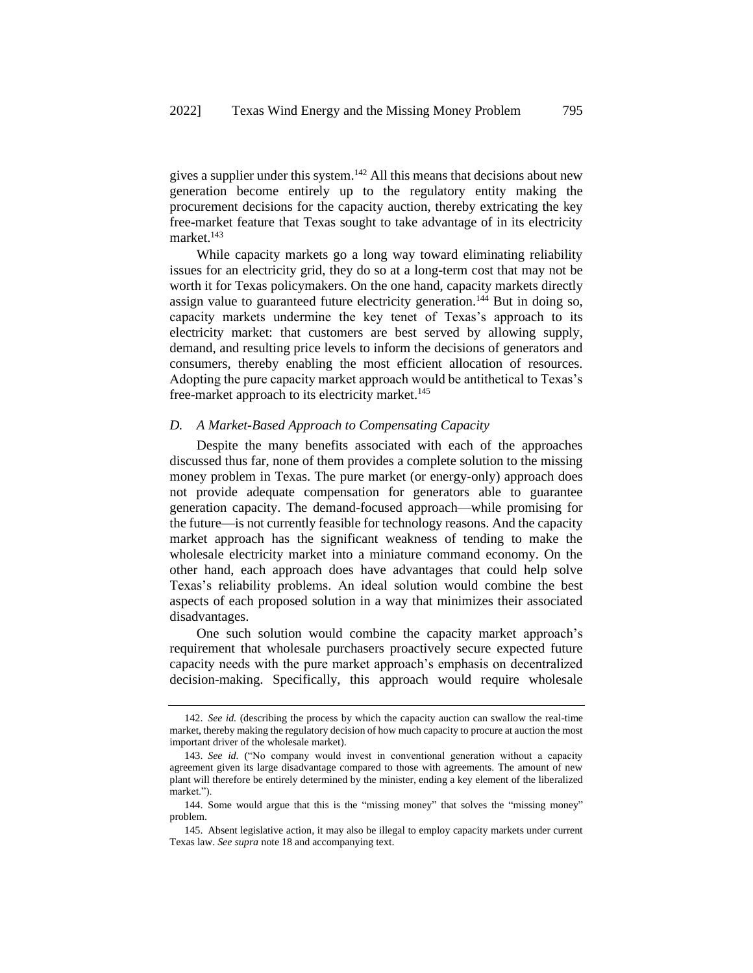gives a supplier under this system.<sup>142</sup> All this means that decisions about new generation become entirely up to the regulatory entity making the procurement decisions for the capacity auction, thereby extricating the key free-market feature that Texas sought to take advantage of in its electricity market.<sup>143</sup>

While capacity markets go a long way toward eliminating reliability issues for an electricity grid, they do so at a long-term cost that may not be worth it for Texas policymakers. On the one hand, capacity markets directly assign value to guaranteed future electricity generation.<sup>144</sup> But in doing so, capacity markets undermine the key tenet of Texas's approach to its electricity market: that customers are best served by allowing supply, demand, and resulting price levels to inform the decisions of generators and consumers, thereby enabling the most efficient allocation of resources. Adopting the pure capacity market approach would be antithetical to Texas's free-market approach to its electricity market.<sup>145</sup>

#### *D. A Market-Based Approach to Compensating Capacity*

Despite the many benefits associated with each of the approaches discussed thus far, none of them provides a complete solution to the missing money problem in Texas. The pure market (or energy-only) approach does not provide adequate compensation for generators able to guarantee generation capacity. The demand-focused approach—while promising for the future—is not currently feasible for technology reasons. And the capacity market approach has the significant weakness of tending to make the wholesale electricity market into a miniature command economy. On the other hand, each approach does have advantages that could help solve Texas's reliability problems. An ideal solution would combine the best aspects of each proposed solution in a way that minimizes their associated disadvantages.

One such solution would combine the capacity market approach's requirement that wholesale purchasers proactively secure expected future capacity needs with the pure market approach's emphasis on decentralized decision-making. Specifically, this approach would require wholesale

<sup>142.</sup> *See id.* (describing the process by which the capacity auction can swallow the real-time market, thereby making the regulatory decision of how much capacity to procure at auction the most important driver of the wholesale market).

<sup>143.</sup> *See id.* ("No company would invest in conventional generation without a capacity agreement given its large disadvantage compared to those with agreements. The amount of new plant will therefore be entirely determined by the minister, ending a key element of the liberalized market.").

<sup>144.</sup> Some would argue that this is the "missing money" that solves the "missing money" problem.

<sup>145.</sup> Absent legislative action, it may also be illegal to employ capacity markets under current Texas law. *See supra* not[e 18](#page-4-0) and accompanying text.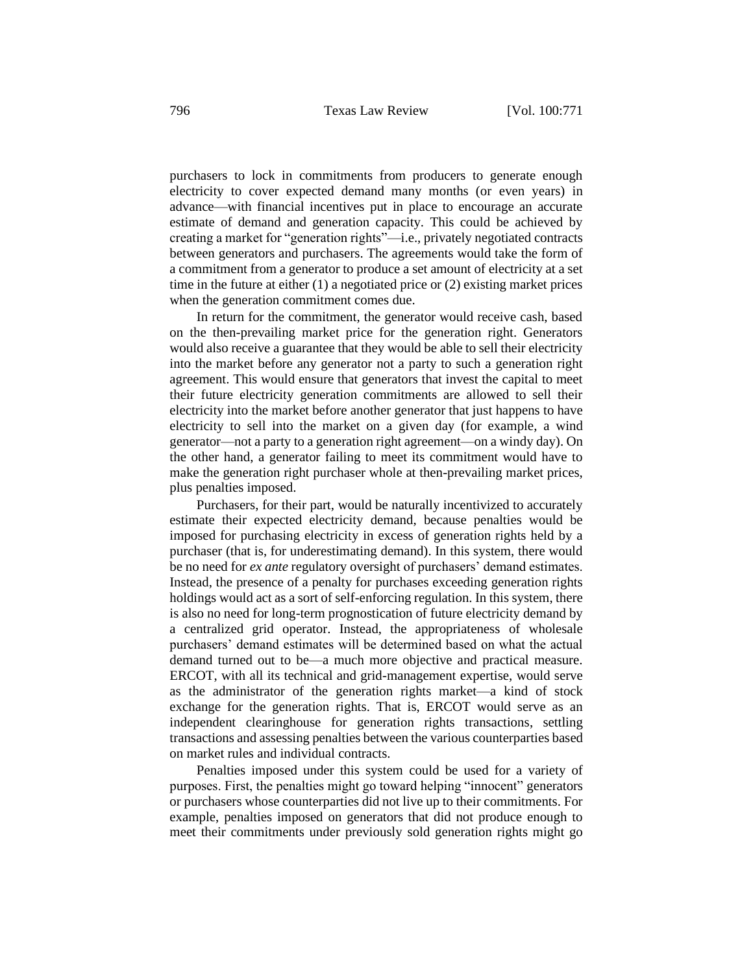purchasers to lock in commitments from producers to generate enough electricity to cover expected demand many months (or even years) in advance—with financial incentives put in place to encourage an accurate estimate of demand and generation capacity. This could be achieved by creating a market for "generation rights"—i.e., privately negotiated contracts between generators and purchasers. The agreements would take the form of a commitment from a generator to produce a set amount of electricity at a set time in the future at either (1) a negotiated price or (2) existing market prices when the generation commitment comes due.

In return for the commitment, the generator would receive cash, based on the then-prevailing market price for the generation right. Generators would also receive a guarantee that they would be able to sell their electricity into the market before any generator not a party to such a generation right agreement. This would ensure that generators that invest the capital to meet their future electricity generation commitments are allowed to sell their electricity into the market before another generator that just happens to have electricity to sell into the market on a given day (for example, a wind generator—not a party to a generation right agreement—on a windy day). On the other hand, a generator failing to meet its commitment would have to make the generation right purchaser whole at then-prevailing market prices, plus penalties imposed.

Purchasers, for their part, would be naturally incentivized to accurately estimate their expected electricity demand, because penalties would be imposed for purchasing electricity in excess of generation rights held by a purchaser (that is, for underestimating demand). In this system, there would be no need for *ex ante* regulatory oversight of purchasers' demand estimates. Instead, the presence of a penalty for purchases exceeding generation rights holdings would act as a sort of self-enforcing regulation. In this system, there is also no need for long-term prognostication of future electricity demand by a centralized grid operator. Instead, the appropriateness of wholesale purchasers' demand estimates will be determined based on what the actual demand turned out to be—a much more objective and practical measure. ERCOT, with all its technical and grid-management expertise, would serve as the administrator of the generation rights market—a kind of stock exchange for the generation rights. That is, ERCOT would serve as an independent clearinghouse for generation rights transactions, settling transactions and assessing penalties between the various counterparties based on market rules and individual contracts.

Penalties imposed under this system could be used for a variety of purposes. First, the penalties might go toward helping "innocent" generators or purchasers whose counterparties did not live up to their commitments. For example, penalties imposed on generators that did not produce enough to meet their commitments under previously sold generation rights might go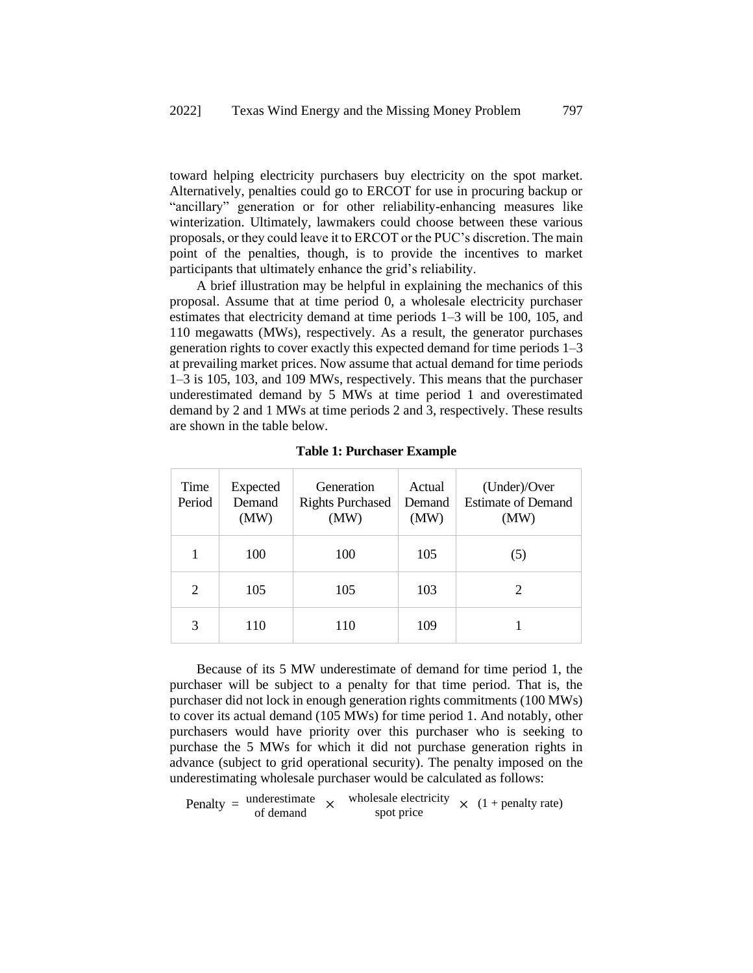toward helping electricity purchasers buy electricity on the spot market. Alternatively, penalties could go to ERCOT for use in procuring backup or "ancillary" generation or for other reliability-enhancing measures like winterization. Ultimately, lawmakers could choose between these various proposals, or they could leave it to ERCOT or the PUC's discretion. The main point of the penalties, though, is to provide the incentives to market participants that ultimately enhance the grid's reliability.

A brief illustration may be helpful in explaining the mechanics of this proposal. Assume that at time period 0, a wholesale electricity purchaser estimates that electricity demand at time periods 1–3 will be 100, 105, and 110 megawatts (MWs), respectively. As a result, the generator purchases generation rights to cover exactly this expected demand for time periods 1–3 at prevailing market prices. Now assume that actual demand for time periods 1–3 is 105, 103, and 109 MWs, respectively. This means that the purchaser underestimated demand by 5 MWs at time period 1 and overestimated demand by 2 and 1 MWs at time periods 2 and 3, respectively. These results are shown in the table below.

| Time<br>Period | Expected<br>Demand<br>(MW) | Generation<br><b>Rights Purchased</b><br>(MW) | Actual<br>Demand<br>(MW) | (Under)/Over<br><b>Estimate of Demand</b><br>(MW) |
|----------------|----------------------------|-----------------------------------------------|--------------------------|---------------------------------------------------|
|                | 100                        | 100                                           | 105                      | (5)                                               |
| 2              | 105                        | 105                                           | 103                      | 2                                                 |
| 3              | 110                        | 110                                           | 109                      |                                                   |

**Table 1: Purchaser Example**

Because of its 5 MW underestimate of demand for time period 1, the purchaser will be subject to a penalty for that time period. That is, the purchaser did not lock in enough generation rights commitments (100 MWs) to cover its actual demand (105 MWs) for time period 1. And notably, other purchasers would have priority over this purchaser who is seeking to purchase the 5 MWs for which it did not purchase generation rights in advance (subject to grid operational security). The penalty imposed on the underestimating wholesale purchaser would be calculated as follows:

Penalty = underestimate  $\times$  wholesale electricity  $\times$  (1 + penalty rate) spot price of demand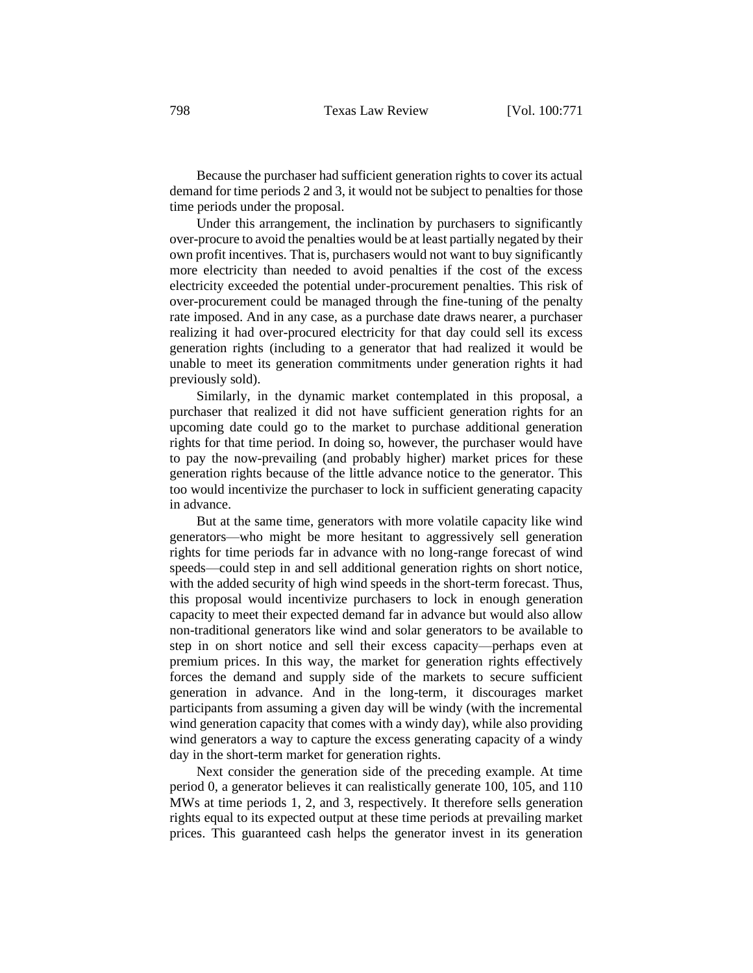Because the purchaser had sufficient generation rights to cover its actual demand for time periods 2 and 3, it would not be subject to penalties for those time periods under the proposal.

Under this arrangement, the inclination by purchasers to significantly over-procure to avoid the penalties would be at least partially negated by their own profit incentives. That is, purchasers would not want to buy significantly more electricity than needed to avoid penalties if the cost of the excess electricity exceeded the potential under-procurement penalties. This risk of over-procurement could be managed through the fine-tuning of the penalty rate imposed. And in any case, as a purchase date draws nearer, a purchaser realizing it had over-procured electricity for that day could sell its excess generation rights (including to a generator that had realized it would be unable to meet its generation commitments under generation rights it had previously sold).

Similarly, in the dynamic market contemplated in this proposal, a purchaser that realized it did not have sufficient generation rights for an upcoming date could go to the market to purchase additional generation rights for that time period. In doing so, however, the purchaser would have to pay the now-prevailing (and probably higher) market prices for these generation rights because of the little advance notice to the generator. This too would incentivize the purchaser to lock in sufficient generating capacity in advance.

But at the same time, generators with more volatile capacity like wind generators—who might be more hesitant to aggressively sell generation rights for time periods far in advance with no long-range forecast of wind speeds—could step in and sell additional generation rights on short notice, with the added security of high wind speeds in the short-term forecast. Thus, this proposal would incentivize purchasers to lock in enough generation capacity to meet their expected demand far in advance but would also allow non-traditional generators like wind and solar generators to be available to step in on short notice and sell their excess capacity—perhaps even at premium prices. In this way, the market for generation rights effectively forces the demand and supply side of the markets to secure sufficient generation in advance. And in the long-term, it discourages market participants from assuming a given day will be windy (with the incremental wind generation capacity that comes with a windy day), while also providing wind generators a way to capture the excess generating capacity of a windy day in the short-term market for generation rights.

Next consider the generation side of the preceding example. At time period 0, a generator believes it can realistically generate 100, 105, and 110 MWs at time periods 1, 2, and 3, respectively. It therefore sells generation rights equal to its expected output at these time periods at prevailing market prices. This guaranteed cash helps the generator invest in its generation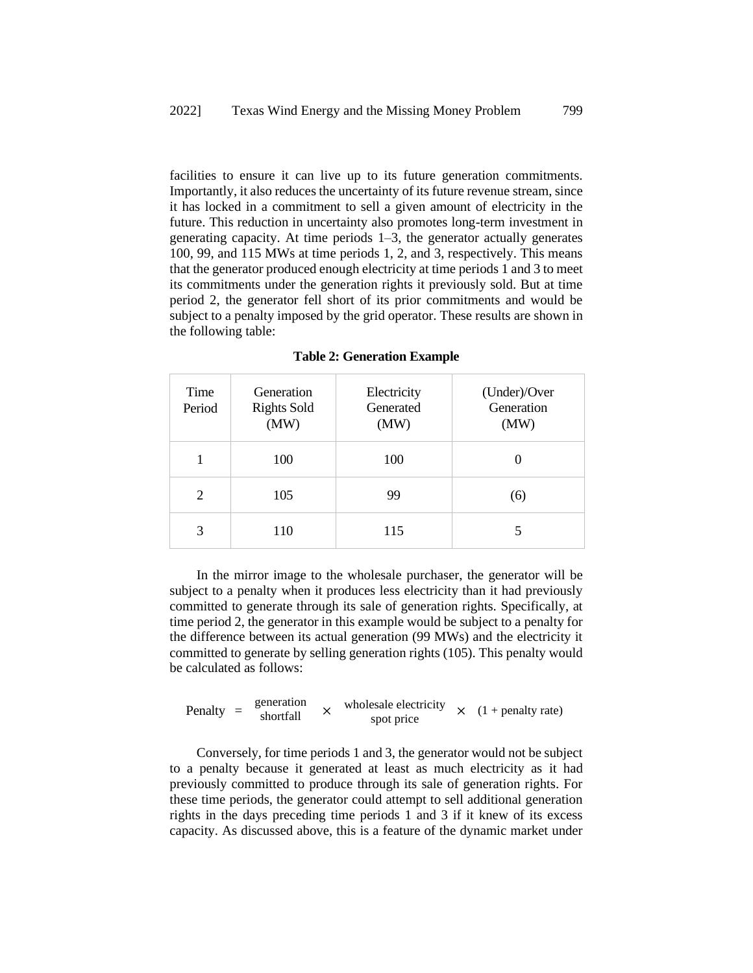facilities to ensure it can live up to its future generation commitments. Importantly, it also reduces the uncertainty of its future revenue stream, since it has locked in a commitment to sell a given amount of electricity in the future. This reduction in uncertainty also promotes long-term investment in generating capacity. At time periods 1–3, the generator actually generates 100, 99, and 115 MWs at time periods 1, 2, and 3, respectively. This means that the generator produced enough electricity at time periods 1 and 3 to meet its commitments under the generation rights it previously sold. But at time period 2, the generator fell short of its prior commitments and would be subject to a penalty imposed by the grid operator. These results are shown in the following table:

| Time<br>Period              | Generation<br><b>Rights Sold</b><br>(MW) | Electricity<br>Generated<br>(MW) | (Under)/Over<br>Generation<br>(MW) |
|-----------------------------|------------------------------------------|----------------------------------|------------------------------------|
|                             | 100                                      | 100                              |                                    |
| $\mathcal{D}_{\mathcal{L}}$ | 105                                      | 99                               | (6)                                |
| 3                           | 110                                      | 115                              |                                    |

**Table 2: Generation Example**

In the mirror image to the wholesale purchaser, the generator will be subject to a penalty when it produces less electricity than it had previously committed to generate through its sale of generation rights. Specifically, at time period 2, the generator in this example would be subject to a penalty for the difference between its actual generation (99 MWs) and the electricity it committed to generate by selling generation rights (105). This penalty would be calculated as follows:

Penalty = generation 
$$
\times
$$
 whose  
side electricity  $\times$  (1 + penalty rate) spot price

Conversely, for time periods 1 and 3, the generator would not be subject to a penalty because it generated at least as much electricity as it had previously committed to produce through its sale of generation rights. For these time periods, the generator could attempt to sell additional generation rights in the days preceding time periods 1 and 3 if it knew of its excess capacity. As discussed above, this is a feature of the dynamic market under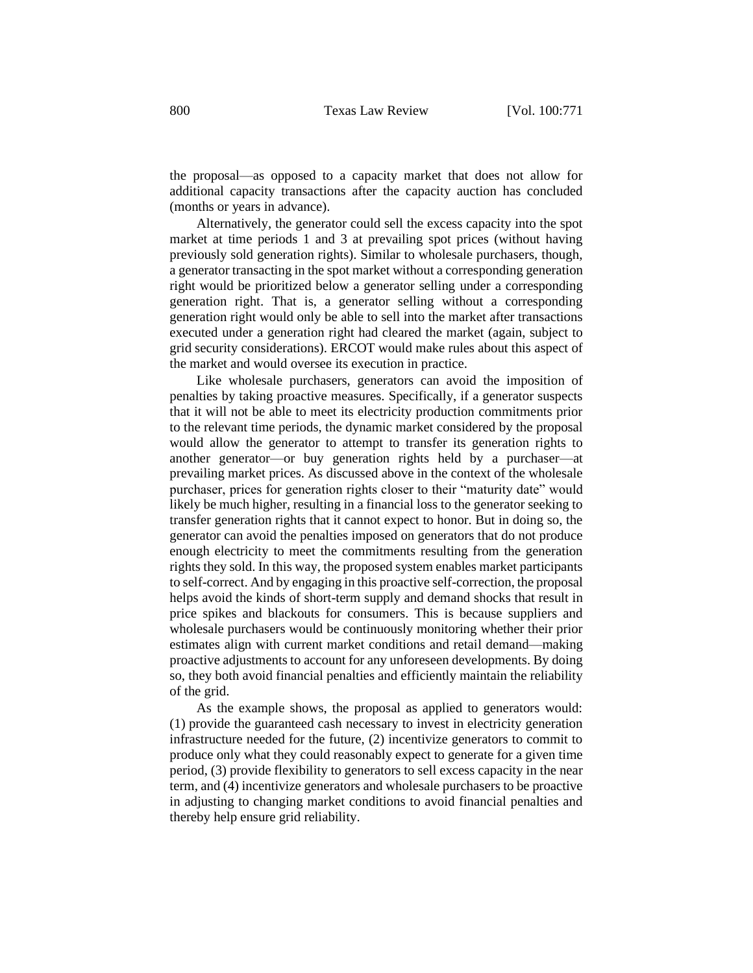the proposal—as opposed to a capacity market that does not allow for additional capacity transactions after the capacity auction has concluded (months or years in advance).

Alternatively, the generator could sell the excess capacity into the spot market at time periods 1 and 3 at prevailing spot prices (without having previously sold generation rights). Similar to wholesale purchasers, though, a generator transacting in the spot market without a corresponding generation right would be prioritized below a generator selling under a corresponding generation right. That is, a generator selling without a corresponding generation right would only be able to sell into the market after transactions executed under a generation right had cleared the market (again, subject to grid security considerations). ERCOT would make rules about this aspect of the market and would oversee its execution in practice.

Like wholesale purchasers, generators can avoid the imposition of penalties by taking proactive measures. Specifically, if a generator suspects that it will not be able to meet its electricity production commitments prior to the relevant time periods, the dynamic market considered by the proposal would allow the generator to attempt to transfer its generation rights to another generator—or buy generation rights held by a purchaser—at prevailing market prices. As discussed above in the context of the wholesale purchaser, prices for generation rights closer to their "maturity date" would likely be much higher, resulting in a financial loss to the generator seeking to transfer generation rights that it cannot expect to honor. But in doing so, the generator can avoid the penalties imposed on generators that do not produce enough electricity to meet the commitments resulting from the generation rights they sold. In this way, the proposed system enables market participants to self-correct. And by engaging in this proactive self-correction, the proposal helps avoid the kinds of short-term supply and demand shocks that result in price spikes and blackouts for consumers. This is because suppliers and wholesale purchasers would be continuously monitoring whether their prior estimates align with current market conditions and retail demand—making proactive adjustments to account for any unforeseen developments. By doing so, they both avoid financial penalties and efficiently maintain the reliability of the grid.

As the example shows, the proposal as applied to generators would: (1) provide the guaranteed cash necessary to invest in electricity generation infrastructure needed for the future, (2) incentivize generators to commit to produce only what they could reasonably expect to generate for a given time period, (3) provide flexibility to generators to sell excess capacity in the near term, and (4) incentivize generators and wholesale purchasers to be proactive in adjusting to changing market conditions to avoid financial penalties and thereby help ensure grid reliability.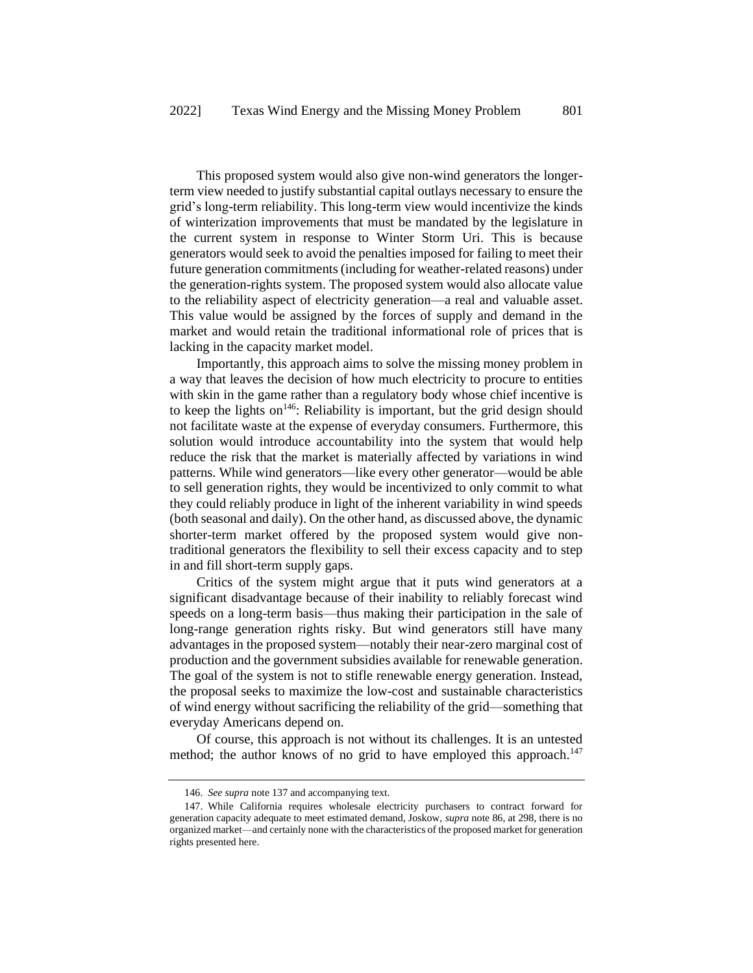This proposed system would also give non-wind generators the longerterm view needed to justify substantial capital outlays necessary to ensure the grid's long-term reliability. This long-term view would incentivize the kinds of winterization improvements that must be mandated by the legislature in the current system in response to Winter Storm Uri. This is because generators would seek to avoid the penalties imposed for failing to meet their future generation commitments (including for weather-related reasons) under the generation-rights system. The proposed system would also allocate value to the reliability aspect of electricity generation—a real and valuable asset. This value would be assigned by the forces of supply and demand in the market and would retain the traditional informational role of prices that is lacking in the capacity market model.

Importantly, this approach aims to solve the missing money problem in a way that leaves the decision of how much electricity to procure to entities with skin in the game rather than a regulatory body whose chief incentive is to keep the lights on<sup>146</sup>: Reliability is important, but the grid design should not facilitate waste at the expense of everyday consumers. Furthermore, this solution would introduce accountability into the system that would help reduce the risk that the market is materially affected by variations in wind patterns. While wind generators—like every other generator—would be able to sell generation rights, they would be incentivized to only commit to what they could reliably produce in light of the inherent variability in wind speeds (both seasonal and daily). On the other hand, as discussed above, the dynamic shorter-term market offered by the proposed system would give nontraditional generators the flexibility to sell their excess capacity and to step in and fill short-term supply gaps.

Critics of the system might argue that it puts wind generators at a significant disadvantage because of their inability to reliably forecast wind speeds on a long-term basis—thus making their participation in the sale of long-range generation rights risky. But wind generators still have many advantages in the proposed system—notably their near-zero marginal cost of production and the government subsidies available for renewable generation. The goal of the system is not to stifle renewable energy generation. Instead, the proposal seeks to maximize the low-cost and sustainable characteristics of wind energy without sacrificing the reliability of the grid—something that everyday Americans depend on.

Of course, this approach is not without its challenges. It is an untested method; the author knows of no grid to have employed this approach.<sup>147</sup>

<sup>146.</sup> *See supra* not[e 137](#page-23-0) and accompanying text.

<sup>147.</sup> While California requires wholesale electricity purchasers to contract forward for generation capacity adequate to meet estimated demand, Joskow, *supra* not[e 86,](#page-15-2) at 298, there is no organized market—and certainly none with the characteristics of the proposed market for generation rights presented here.